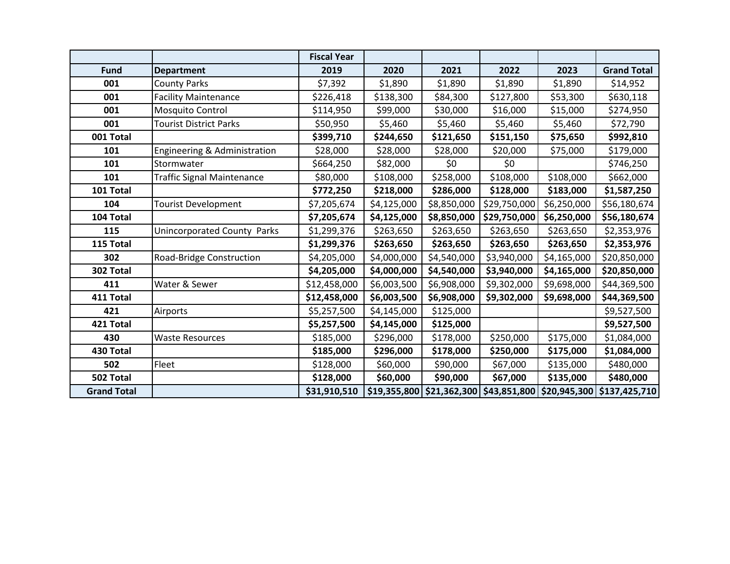|                    |                                   | <b>Fiscal Year</b> |             |                                |              |             |                                         |
|--------------------|-----------------------------------|--------------------|-------------|--------------------------------|--------------|-------------|-----------------------------------------|
| <b>Fund</b>        | <b>Department</b>                 | 2019               | 2020        | 2021                           | 2022         | 2023        | <b>Grand Total</b>                      |
| 001                | <b>County Parks</b>               | \$7,392            | \$1,890     | \$1,890                        | \$1,890      | \$1,890     | \$14,952                                |
| 001                | <b>Facility Maintenance</b>       | \$226,418          | \$138,300   | \$84,300                       | \$127,800    | \$53,300    | \$630,118                               |
| 001                | Mosquito Control                  | \$114,950          | \$99,000    | \$30,000                       | \$16,000     | \$15,000    | \$274,950                               |
| 001                | <b>Tourist District Parks</b>     | \$50,950           | \$5,460     | \$5,460                        | \$5,460      | \$5,460     | \$72,790                                |
| 001 Total          |                                   | \$399,710          | \$244,650   | \$121,650                      | \$151,150    | \$75,650    | \$992,810                               |
| 101                | Engineering & Administration      | \$28,000           | \$28,000    | \$28,000                       | \$20,000     | \$75,000    | \$179,000                               |
| 101                | Stormwater                        | \$664,250          | \$82,000    | \$0                            | \$0          |             | \$746,250                               |
| 101                | <b>Traffic Signal Maintenance</b> | \$80,000           | \$108,000   | \$258,000                      | \$108,000    | \$108,000   | \$662,000                               |
| 101 Total          |                                   | \$772,250          | \$218,000   | \$286,000                      | \$128,000    | \$183,000   | \$1,587,250                             |
| 104                | <b>Tourist Development</b>        | \$7,205,674        | \$4,125,000 | \$8,850,000                    | \$29,750,000 | \$6,250,000 | \$56,180,674                            |
| 104 Total          |                                   | \$7,205,674        | \$4,125,000 | \$8,850,000                    | \$29,750,000 | \$6,250,000 | \$56,180,674                            |
| 115                | Unincorporated County Parks       | \$1,299,376        | \$263,650   | \$263,650                      | \$263,650    | \$263,650   | \$2,353,976                             |
| 115 Total          |                                   | \$1,299,376        | \$263,650   | \$263,650                      | \$263,650    | \$263,650   | \$2,353,976                             |
| 302                | Road-Bridge Construction          | \$4,205,000        | \$4,000,000 | \$4,540,000                    | \$3,940,000  | \$4,165,000 | \$20,850,000                            |
| 302 Total          |                                   | \$4,205,000        | \$4,000,000 | \$4,540,000                    | \$3,940,000  | \$4,165,000 | \$20,850,000                            |
| 411                | Water & Sewer                     | \$12,458,000       | \$6,003,500 | \$6,908,000                    | \$9,302,000  | \$9,698,000 | \$44,369,500                            |
| 411 Total          |                                   | \$12,458,000       | \$6,003,500 | \$6,908,000                    | \$9,302,000  | \$9,698,000 | \$44,369,500                            |
| 421                | Airports                          | \$5,257,500        | \$4,145,000 | \$125,000                      |              |             | \$9,527,500                             |
| 421 Total          |                                   | \$5,257,500        | \$4,145,000 | \$125,000                      |              |             | \$9,527,500                             |
| 430                | <b>Waste Resources</b>            | \$185,000          | \$296,000   | \$178,000                      | \$250,000    | \$175,000   | \$1,084,000                             |
| 430 Total          |                                   | \$185,000          | \$296,000   | \$178,000                      | \$250,000    | \$175,000   | \$1,084,000                             |
| 502                | Fleet                             | \$128,000          | \$60,000    | \$90,000                       | \$67,000     | \$135,000   | \$480,000                               |
| 502 Total          |                                   | \$128,000          | \$60,000    | \$90,000                       | \$67,000     | \$135,000   | \$480,000                               |
| <b>Grand Total</b> |                                   | \$31,910,510       |             | $$19,355,800 \mid $21,362,300$ |              |             | \$43,851,800 \$20,945,300 \$137,425,710 |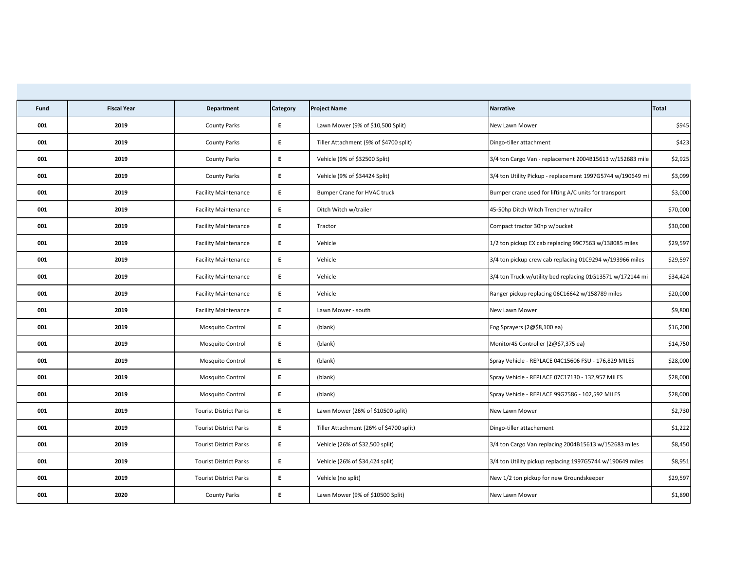| Fund | <b>Fiscal Year</b> | <b>Department</b>             | <b>Category</b> | <b>Project Name</b>                     | Narrative                                                  | Total    |
|------|--------------------|-------------------------------|-----------------|-----------------------------------------|------------------------------------------------------------|----------|
| 001  | 2019               | <b>County Parks</b>           | E               | Lawn Mower (9% of \$10,500 Split)       | New Lawn Mower                                             | \$945    |
| 001  | 2019               | <b>County Parks</b>           | E               | Tiller Attachment (9% of \$4700 split)  | Dingo-tiller attachment                                    | \$423    |
| 001  | 2019               | <b>County Parks</b>           | E               | Vehicle (9% of \$32500 Split)           | 3/4 ton Cargo Van - replacement 2004B15613 w/152683 mile   | \$2,925  |
| 001  | 2019               | <b>County Parks</b>           | E               | Vehicle (9% of \$34424 Split)           | 3/4 ton Utility Pickup - replacement 1997G5744 w/190649 mi | \$3,099  |
| 001  | 2019               | <b>Facility Maintenance</b>   | E               | <b>Bumper Crane for HVAC truck</b>      | Bumper crane used for lifting A/C units for transport      | \$3,000  |
| 001  | 2019               | <b>Facility Maintenance</b>   | E               | Ditch Witch w/trailer                   | 45-50hp Ditch Witch Trencher w/trailer                     | \$70,000 |
| 001  | 2019               | <b>Facility Maintenance</b>   | E.              | Tractor                                 | Compact tractor 30hp w/bucket                              | \$30,000 |
| 001  | 2019               | <b>Facility Maintenance</b>   | E               | Vehicle                                 | 1/2 ton pickup EX cab replacing 99C7563 w/138085 miles     | \$29,597 |
| 001  | 2019               | <b>Facility Maintenance</b>   | E.              | Vehicle                                 | 3/4 ton pickup crew cab replacing 01C9294 w/193966 miles   | \$29,597 |
| 001  | 2019               | <b>Facility Maintenance</b>   | E               | Vehicle                                 | 3/4 ton Truck w/utility bed replacing 01G13571 w/172144 mi | \$34,424 |
| 001  | 2019               | <b>Facility Maintenance</b>   | E               | Vehicle                                 | Ranger pickup replacing 06C16642 w/158789 miles            | \$20,000 |
| 001  | 2019               | <b>Facility Maintenance</b>   | E.              | Lawn Mower - south                      | New Lawn Mower                                             | \$9,800  |
| 001  | 2019               | Mosquito Control              | E               | (blank)                                 | Fog Sprayers $(2@$8,100 ea)$                               | \$16,200 |
| 001  | 2019               | <b>Mosquito Control</b>       | E               | (blank)                                 | Monitor4S Controller (2@\$7,375 ea)                        | \$14,750 |
| 001  | 2019               | Mosquito Control              | E               | (blank)                                 | Spray Vehicle - REPLACE 04C15606 FSU - 176,829 MILES       | \$28,000 |
| 001  | 2019               | Mosquito Control              | E               | (blank)                                 | Spray Vehicle - REPLACE 07C17130 - 132,957 MILES           | \$28,000 |
| 001  | 2019               | Mosquito Control              | E               | (blank)                                 | Spray Vehicle - REPLACE 99G7586 - 102,592 MILES            | \$28,000 |
| 001  | 2019               | <b>Tourist District Parks</b> | E.              | Lawn Mower (26% of \$10500 split)       | New Lawn Mower                                             | \$2,730  |
| 001  | 2019               | <b>Tourist District Parks</b> | E               | Tiller Attachment (26% of \$4700 split) | Dingo-tiller attachement                                   | \$1,222  |
| 001  | 2019               | <b>Tourist District Parks</b> | E               | Vehicle (26% of \$32,500 split)         | 3/4 ton Cargo Van replacing 2004B15613 w/152683 miles      | \$8,450  |
| 001  | 2019               | <b>Tourist District Parks</b> | E.              | Vehicle (26% of \$34,424 split)         | 3/4 ton Utility pickup replacing 1997G5744 w/190649 miles  | \$8,951  |
| 001  | 2019               | <b>Tourist District Parks</b> | E               | Vehicle (no split)                      | New 1/2 ton pickup for new Groundskeeper                   | \$29,597 |
| 001  | 2020               | <b>County Parks</b>           | E               | Lawn Mower (9% of \$10500 Split)        | New Lawn Mower                                             | \$1,890  |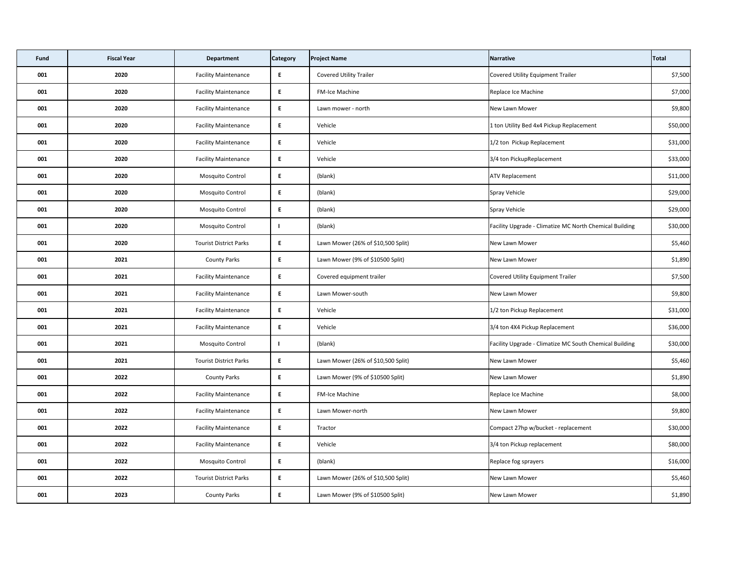| Fund | <b>Fiscal Year</b> | <b>Department</b>             | <b>Category</b> | <b>Project Name</b>                | Narrative                                               | Total    |
|------|--------------------|-------------------------------|-----------------|------------------------------------|---------------------------------------------------------|----------|
| 001  | 2020               | <b>Facility Maintenance</b>   | E               | <b>Covered Utility Trailer</b>     | <b>Covered Utility Equipment Trailer</b>                | \$7,500  |
| 001  | 2020               | <b>Facility Maintenance</b>   | E               | <b>FM-Ice Machine</b>              | Replace Ice Machine                                     | \$7,000  |
| 001  | 2020               | <b>Facility Maintenance</b>   | E               | Lawn mower - north                 | New Lawn Mower                                          | \$9,800  |
| 001  | 2020               | <b>Facility Maintenance</b>   | E               | Vehicle                            | 1 ton Utility Bed 4x4 Pickup Replacement                | \$50,000 |
| 001  | 2020               | <b>Facility Maintenance</b>   | E               | Vehicle                            | 1/2 ton Pickup Replacement                              | \$31,000 |
| 001  | 2020               | <b>Facility Maintenance</b>   | E               | Vehicle                            | 3/4 ton PickupReplacement                               | \$33,000 |
| 001  | 2020               | Mosquito Control              | E               | (blank)                            | <b>ATV Replacement</b>                                  | \$11,000 |
| 001  | 2020               | <b>Mosquito Control</b>       | E               | (blank)                            | Spray Vehicle                                           | \$29,000 |
| 001  | 2020               | Mosquito Control              | E               | (blank)                            | Spray Vehicle                                           | \$29,000 |
| 001  | 2020               | Mosquito Control              |                 | (blank)                            | Facility Upgrade - Climatize MC North Chemical Building | \$30,000 |
| 001  | 2020               | <b>Tourist District Parks</b> | E               | Lawn Mower (26% of \$10,500 Split) | <b>New Lawn Mower</b>                                   | \$5,460  |
| 001  | 2021               | <b>County Parks</b>           | E               | Lawn Mower (9% of \$10500 Split)   | New Lawn Mower                                          | \$1,890  |
| 001  | 2021               | <b>Facility Maintenance</b>   | E               | Covered equipment trailer          | Covered Utility Equipment Trailer                       | \$7,500  |
| 001  | 2021               | <b>Facility Maintenance</b>   | E               | Lawn Mower-south                   | New Lawn Mower                                          | \$9,800  |
| 001  | 2021               | <b>Facility Maintenance</b>   | E               | Vehicle                            | 1/2 ton Pickup Replacement                              | \$31,000 |
| 001  | 2021               | <b>Facility Maintenance</b>   | E               | Vehicle                            | 3/4 ton 4X4 Pickup Replacement                          | \$36,000 |
| 001  | 2021               | <b>Mosquito Control</b>       |                 | (blank)                            | Facility Upgrade - Climatize MC South Chemical Building | \$30,000 |
| 001  | 2021               | <b>Tourist District Parks</b> | E               | Lawn Mower (26% of \$10,500 Split) | New Lawn Mower                                          | \$5,460  |
| 001  | 2022               | <b>County Parks</b>           | E               | Lawn Mower (9% of \$10500 Split)   | New Lawn Mower                                          | \$1,890  |
| 001  | 2022               | <b>Facility Maintenance</b>   | E               | <b>FM-Ice Machine</b>              | Replace Ice Machine                                     | \$8,000  |
| 001  | 2022               | <b>Facility Maintenance</b>   | E               | Lawn Mower-north                   | New Lawn Mower                                          | \$9,800  |
| 001  | 2022               | <b>Facility Maintenance</b>   | E               | Tractor                            | Compact 27hp w/bucket - replacement                     | \$30,000 |
| 001  | 2022               | <b>Facility Maintenance</b>   | E               | Vehicle                            | 3/4 ton Pickup replacement                              | \$80,000 |
| 001  | 2022               | Mosquito Control              | E               | (blank)                            | Replace fog sprayers                                    | \$16,000 |
| 001  | 2022               | <b>Tourist District Parks</b> | E               | Lawn Mower (26% of \$10,500 Split) | New Lawn Mower                                          | \$5,460  |
| 001  | 2023               | <b>County Parks</b>           | E               | Lawn Mower (9% of \$10500 Split)   | New Lawn Mower                                          | \$1,890  |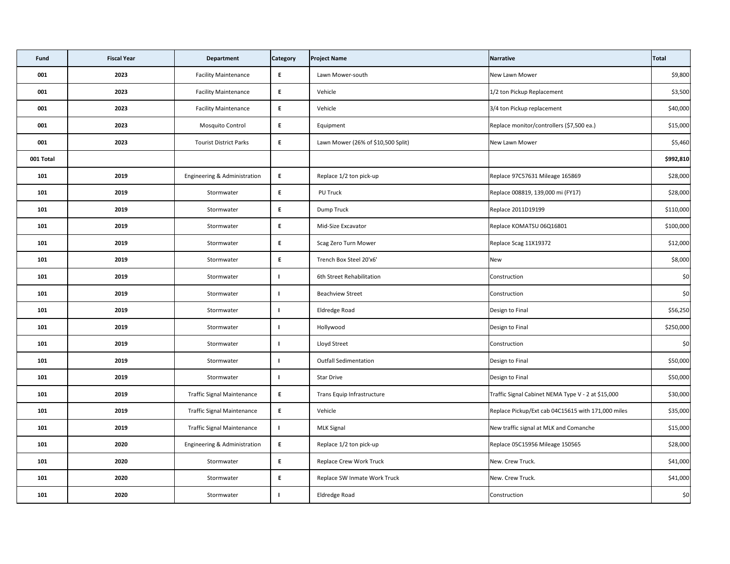| <b>Fund</b> | <b>Fiscal Year</b> | <b>Department</b>                 | <b>Category</b> | <b>Project Name</b>                | Narrative                                          | Total     |
|-------------|--------------------|-----------------------------------|-----------------|------------------------------------|----------------------------------------------------|-----------|
| 001         | 2023               | <b>Facility Maintenance</b>       | E               | Lawn Mower-south                   | New Lawn Mower                                     | \$9,800   |
| 001         | 2023               | <b>Facility Maintenance</b>       | E               | Vehicle                            | 1/2 ton Pickup Replacement                         | \$3,500   |
| 001         | 2023               | <b>Facility Maintenance</b>       | E               | Vehicle                            | 3/4 ton Pickup replacement                         | \$40,000  |
| 001         | 2023               | Mosquito Control                  | E               | Equipment                          | Replace monitor/controllers (\$7,500 ea.)          | \$15,000  |
| 001         | 2023               | <b>Tourist District Parks</b>     | E.              | Lawn Mower (26% of \$10,500 Split) | New Lawn Mower                                     | \$5,460   |
| 001 Total   |                    |                                   |                 |                                    |                                                    | \$992,810 |
| 101         | 2019               | Engineering & Administration      | E               | Replace 1/2 ton pick-up            | Replace 97C57631 Mileage 165869                    | \$28,000  |
| 101         | 2019               | Stormwater                        | E.              | PU Truck                           | Replace 008819, 139,000 mi (FY17)                  | \$28,000  |
| 101         | 2019               | Stormwater                        | E               | Dump Truck                         | Replace 2011D19199                                 | \$110,000 |
| 101         | 2019               | Stormwater                        | E               | Mid-Size Excavator                 | Replace KOMATSU 06Q16801                           | \$100,000 |
| 101         | 2019               | Stormwater                        | E.              | Scag Zero Turn Mower               | Replace Scag 11X19372                              | \$12,000  |
| 101         | 2019               | Stormwater                        | E.              | Trench Box Steel 20'x6'            | <b>New</b>                                         | \$8,000   |
| 101         | 2019               | Stormwater                        |                 | 6th Street Rehabilitation          | Construction                                       | \$0       |
| 101         | 2019               | Stormwater                        |                 | <b>Beachview Street</b>            | Construction                                       | \$0       |
| 101         | 2019               | Stormwater                        |                 | Eldredge Road                      | Design to Final                                    | \$56,250  |
| 101         | 2019               | Stormwater                        |                 | Hollywood                          | Design to Final                                    | \$250,000 |
| 101         | 2019               | Stormwater                        | $\mathbf{I}$    | Lloyd Street                       | Construction                                       | \$0       |
| 101         | 2019               | Stormwater                        |                 | <b>Outfall Sedimentation</b>       | Design to Final                                    | \$50,000  |
| 101         | 2019               | Stormwater                        |                 | <b>Star Drive</b>                  | Design to Final                                    | \$50,000  |
| 101         | 2019               | <b>Traffic Signal Maintenance</b> | E.              | Trans Equip Infrastructure         | Traffic Signal Cabinet NEMA Type V - 2 at \$15,000 | \$30,000  |
| 101         | 2019               | <b>Traffic Signal Maintenance</b> | E.              | Vehicle                            | Replace Pickup/Ext cab 04C15615 with 171,000 miles | \$35,000  |
| 101         | 2019               | <b>Traffic Signal Maintenance</b> |                 | <b>MLK Signal</b>                  | New traffic signal at MLK and Comanche             | \$15,000  |
| 101         | 2020               | Engineering & Administration      | E               | Replace 1/2 ton pick-up            | Replace 05C15956 Mileage 150565                    | \$28,000  |
| 101         | 2020               | Stormwater                        | E               | <b>Replace Crew Work Truck</b>     | New. Crew Truck.                                   | \$41,000  |
| 101         | 2020               | Stormwater                        | E.              | Replace SW Inmate Work Truck       | New. Crew Truck.                                   | \$41,000  |
| 101         | 2020               | Stormwater                        |                 | Eldredge Road                      | Construction                                       | \$0       |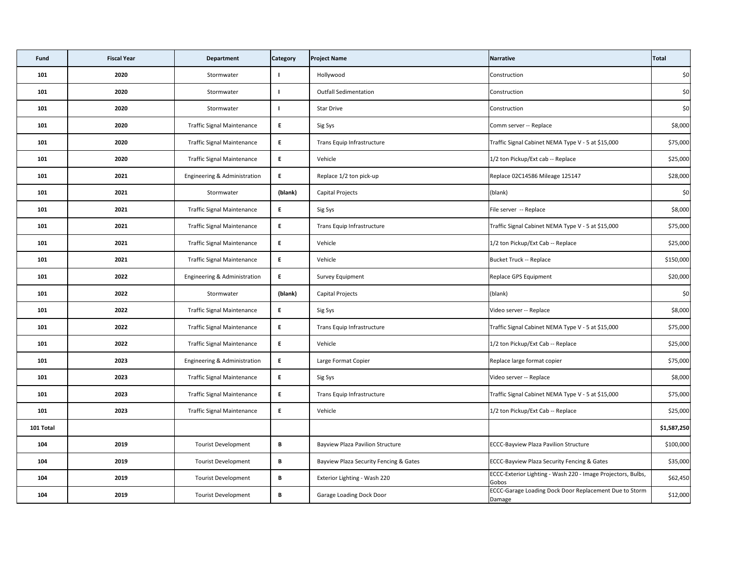| <b>Fund</b> | <b>Fiscal Year</b> | <b>Department</b>                 | <b>Category</b> | <b>Project Name</b>                     | Narrative                                                             | Total       |
|-------------|--------------------|-----------------------------------|-----------------|-----------------------------------------|-----------------------------------------------------------------------|-------------|
| 101         | 2020               | Stormwater                        |                 | Hollywood                               | Construction                                                          | \$0         |
| 101         | 2020               | Stormwater                        |                 | <b>Outfall Sedimentation</b>            | Construction                                                          | \$0         |
| 101         | 2020               | Stormwater                        |                 | <b>Star Drive</b>                       | Construction                                                          | \$0         |
| 101         | 2020               | <b>Traffic Signal Maintenance</b> | E               | Sig Sys                                 | Comm server -- Replace                                                | \$8,000     |
| 101         | 2020               | <b>Traffic Signal Maintenance</b> | E.              | Trans Equip Infrastructure              | Traffic Signal Cabinet NEMA Type V - 5 at \$15,000                    | \$75,000    |
| 101         | 2020               | <b>Traffic Signal Maintenance</b> | E.              | Vehicle                                 | 1/2 ton Pickup/Ext cab -- Replace                                     | \$25,000    |
| 101         | 2021               | Engineering & Administration      | E               | Replace 1/2 ton pick-up                 | Replace 02C14586 Mileage 125147                                       | \$28,000    |
| 101         | 2021               | Stormwater                        | (blank)         | <b>Capital Projects</b>                 | (blank)                                                               | \$0         |
| 101         | 2021               | <b>Traffic Signal Maintenance</b> | E               | Sig Sys                                 | File server -- Replace                                                | \$8,000     |
| 101         | 2021               | <b>Traffic Signal Maintenance</b> | E.              | Trans Equip Infrastructure              | Traffic Signal Cabinet NEMA Type V - 5 at \$15,000                    | \$75,000    |
| 101         | 2021               | <b>Traffic Signal Maintenance</b> | E.              | Vehicle                                 | 1/2 ton Pickup/Ext Cab -- Replace                                     | \$25,000    |
| 101         | 2021               | <b>Traffic Signal Maintenance</b> | E.              | Vehicle                                 | Bucket Truck -- Replace                                               | \$150,000   |
| 101         | 2022               | Engineering & Administration      | E               | Survey Equipment                        | Replace GPS Equipment                                                 | \$20,000    |
| 101         | 2022               | Stormwater                        | (blank)         | Capital Projects                        | (blank)                                                               | \$0         |
| 101         | 2022               | <b>Traffic Signal Maintenance</b> | E.              | Sig Sys                                 | Video server -- Replace                                               | \$8,000     |
| 101         | 2022               | <b>Traffic Signal Maintenance</b> | E.              | Trans Equip Infrastructure              | Traffic Signal Cabinet NEMA Type V - 5 at \$15,000                    | \$75,000    |
| 101         | 2022               | <b>Traffic Signal Maintenance</b> | E.              | Vehicle                                 | 1/2 ton Pickup/Ext Cab -- Replace                                     | \$25,000    |
| 101         | 2023               | Engineering & Administration      | E               | Large Format Copier                     | Replace large format copier                                           | \$75,000    |
| 101         | 2023               | <b>Traffic Signal Maintenance</b> | E               | Sig Sys                                 | Video server -- Replace                                               | \$8,000     |
| 101         | 2023               | <b>Traffic Signal Maintenance</b> | E               | Trans Equip Infrastructure              | Traffic Signal Cabinet NEMA Type V - 5 at \$15,000                    | \$75,000    |
| 101         | 2023               | <b>Traffic Signal Maintenance</b> | E               | Vehicle                                 | 1/2 ton Pickup/Ext Cab -- Replace                                     | \$25,000    |
| 101 Total   |                    |                                   |                 |                                         |                                                                       | \$1,587,250 |
| 104         | 2019               | <b>Tourist Development</b>        | B               | <b>Bayview Plaza Pavilion Structure</b> | <b>ECCC-Bayview Plaza Pavilion Structure</b>                          | \$100,000   |
| 104         | 2019               | <b>Tourist Development</b>        | $\, {\bf B} \,$ | Bayview Plaza Security Fencing & Gates  | <b>ECCC-Bayview Plaza Security Fencing &amp; Gates</b>                | \$35,000    |
| 104         | 2019               | <b>Tourist Development</b>        | B               | Exterior Lighting - Wash 220            | ECCC-Exterior Lighting - Wash 220 - Image Projectors, Bulbs,<br>Gobos | \$62,450    |
| 104         | 2019               | <b>Tourist Development</b>        | B               | <b>Garage Loading Dock Door</b>         | ECCC-Garage Loading Dock Door Replacement Due to Storm<br>Damage      | \$12,000    |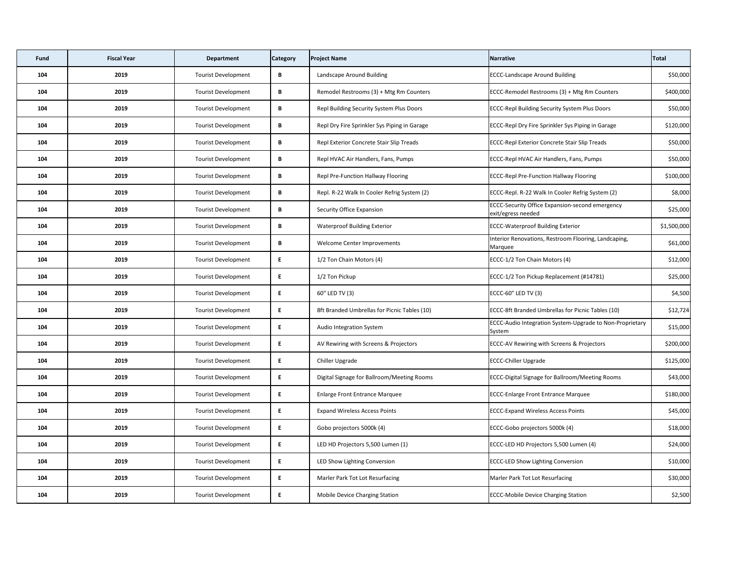| <b>Fund</b> | <b>Fiscal Year</b> | <b>Department</b>          | <b>Category</b> | <b>Project Name</b>                          | Narrative                                                                    | Total       |
|-------------|--------------------|----------------------------|-----------------|----------------------------------------------|------------------------------------------------------------------------------|-------------|
| 104         | 2019               | <b>Tourist Development</b> | B               | Landscape Around Building                    | <b>ECCC-Landscape Around Building</b>                                        | \$50,000    |
| 104         | 2019               | <b>Tourist Development</b> | B               | Remodel Restrooms (3) + Mtg Rm Counters      | ECCC-Remodel Restrooms (3) + Mtg Rm Counters                                 | \$400,000   |
| 104         | 2019               | <b>Tourist Development</b> | B               | Repl Building Security System Plus Doors     | <b>ECCC-Repl Building Security System Plus Doors</b>                         | \$50,000    |
| 104         | 2019               | <b>Tourist Development</b> | B               | Repl Dry Fire Sprinkler Sys Piping in Garage | <b>ECCC-Repl Dry Fire Sprinkler Sys Piping in Garage</b>                     | \$120,000   |
| 104         | 2019               | <b>Tourist Development</b> | B               | Repl Exterior Concrete Stair Slip Treads     | <b>ECCC-Repl Exterior Concrete Stair Slip Treads</b>                         | \$50,000    |
| 104         | 2019               | <b>Tourist Development</b> | B               | Repl HVAC Air Handlers, Fans, Pumps          | ECCC-Repl HVAC Air Handlers, Fans, Pumps                                     | \$50,000    |
| 104         | 2019               | <b>Tourist Development</b> | B               | <b>Repl Pre-Function Hallway Flooring</b>    | <b>ECCC-Repl Pre-Function Hallway Flooring</b>                               | \$100,000   |
| 104         | 2019               | <b>Tourist Development</b> | B               | Repl. R-22 Walk In Cooler Refrig System (2)  | ECCC-Repl. R-22 Walk In Cooler Refrig System (2)                             | \$8,000     |
| 104         | 2019               | <b>Tourist Development</b> | B               | <b>Security Office Expansion</b>             | <b>ECCC-Security Office Expansion-second emergency</b><br>exit/egress needed | \$25,000    |
| 104         | 2019               | <b>Tourist Development</b> | B               | <b>Waterproof Building Exterior</b>          | <b>ECCC-Waterproof Building Exterior</b>                                     | \$1,500,000 |
| 104         | 2019               | <b>Tourist Development</b> | B               | Welcome Center Improvements                  | Interior Renovations, Restroom Flooring, Landcaping,<br>Marquee              | \$61,000    |
| 104         | 2019               | <b>Tourist Development</b> | E.              | 1/2 Ton Chain Motors (4)                     | ECCC-1/2 Ton Chain Motors (4)                                                | \$12,000    |
| 104         | 2019               | <b>Tourist Development</b> | E               | 1/2 Ton Pickup                               | ECCC-1/2 Ton Pickup Replacement (#14781)                                     | \$25,000    |
| 104         | 2019               | <b>Tourist Development</b> | E               | 60" LED TV (3)                               | ECCC-60" LED TV (3)                                                          | \$4,500     |
| 104         | 2019               | <b>Tourist Development</b> | E.              | 8ft Branded Umbrellas for Picnic Tables (10) | ECCC-8ft Branded Umbrellas for Picnic Tables (10)                            | \$12,724    |
| 104         | 2019               | <b>Tourist Development</b> | E               | Audio Integration System                     | ECCC-Audio Integration System-Upgrade to Non-Proprietary<br>System           | \$15,000    |
| 104         | 2019               | <b>Tourist Development</b> | E               | AV Rewiring with Screens & Projectors        | <b>ECCC-AV Rewiring with Screens &amp; Projectors</b>                        | \$200,000   |
| 104         | 2019               | <b>Tourist Development</b> | E               | Chiller Upgrade                              | <b>ECCC-Chiller Upgrade</b>                                                  | \$125,000   |
| 104         | 2019               | <b>Tourist Development</b> | E               | Digital Signage for Ballroom/Meeting Rooms   | <b>ECCC-Digital Signage for Ballroom/Meeting Rooms</b>                       | \$43,000    |
| 104         | 2019               | <b>Tourist Development</b> | E.              | <b>Enlarge Front Entrance Marquee</b>        | <b>ECCC-Enlarge Front Entrance Marquee</b>                                   | \$180,000   |
| 104         | 2019               | <b>Tourist Development</b> | E.              | <b>Expand Wireless Access Points</b>         | <b>ECCC-Expand Wireless Access Points</b>                                    | \$45,000    |
| 104         | 2019               | <b>Tourist Development</b> | E               | Gobo projectors 5000k (4)                    | ECCC-Gobo projectors 5000k (4)                                               | \$18,000    |
| 104         | 2019               | <b>Tourist Development</b> | E               | LED HD Projectors 5,500 Lumen (1)            | ECCC-LED HD Projectors 5,500 Lumen (4)                                       | \$24,000    |
| 104         | 2019               | <b>Tourist Development</b> | E.              | LED Show Lighting Conversion                 | <b>ECCC-LED Show Lighting Conversion</b>                                     | \$10,000    |
| 104         | 2019               | <b>Tourist Development</b> | E               | Marler Park Tot Lot Resurfacing              | Marler Park Tot Lot Resurfacing                                              | \$30,000    |
| 104         | 2019               | <b>Tourist Development</b> | E               | Mobile Device Charging Station               | <b>ECCC-Mobile Device Charging Station</b>                                   | \$2,500     |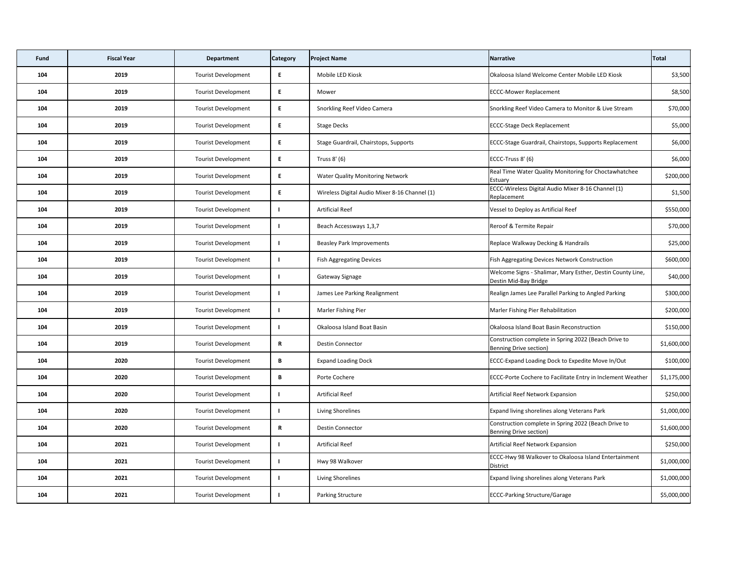| <b>Fund</b> | <b>Fiscal Year</b> | <b>Department</b>          | <b>Category</b> | <b>Project Name</b>                           | Narrative                                                                           | <b>Total</b> |
|-------------|--------------------|----------------------------|-----------------|-----------------------------------------------|-------------------------------------------------------------------------------------|--------------|
| 104         | 2019               | <b>Tourist Development</b> | E.              | Mobile LED Kiosk                              | Okaloosa Island Welcome Center Mobile LED Kiosk                                     | \$3,500      |
| 104         | 2019               | <b>Tourist Development</b> | E.              | Mower                                         | <b>ECCC-Mower Replacement</b>                                                       | \$8,500      |
| 104         | 2019               | <b>Tourist Development</b> | E.              | Snorkling Reef Video Camera                   | Snorkling Reef Video Camera to Monitor & Live Stream                                | \$70,000     |
| 104         | 2019               | <b>Tourist Development</b> | E               | <b>Stage Decks</b>                            | <b>ECCC-Stage Deck Replacement</b>                                                  | \$5,000      |
| 104         | 2019               | <b>Tourist Development</b> | E.              | Stage Guardrail, Chairstops, Supports         | ECCC-Stage Guardrail, Chairstops, Supports Replacement                              | \$6,000      |
| 104         | 2019               | <b>Tourist Development</b> | E               | Truss 8' (6)                                  | ECCC-Truss 8' (6)                                                                   | \$6,000      |
| 104         | 2019               | <b>Tourist Development</b> | E.              | <b>Water Quality Monitoring Network</b>       | Real Time Water Quality Monitoring for Choctawhatchee<br>Estuary                    | \$200,000    |
| 104         | 2019               | <b>Tourist Development</b> | E               | Wireless Digital Audio Mixer 8-16 Channel (1) | ECCC-Wireless Digital Audio Mixer 8-16 Channel (1)<br>Replacement                   | \$1,500      |
| 104         | 2019               | <b>Tourist Development</b> |                 | <b>Artificial Reef</b>                        | Vessel to Deploy as Artificial Reef                                                 | \$550,000    |
| 104         | 2019               | <b>Tourist Development</b> |                 | Beach Accessways 1,3,7                        | Reroof & Termite Repair                                                             | \$70,000     |
| 104         | 2019               | <b>Tourist Development</b> |                 | <b>Beasley Park Improvements</b>              | Replace Walkway Decking & Handrails                                                 | \$25,000     |
| 104         | 2019               | <b>Tourist Development</b> |                 | <b>Fish Aggregating Devices</b>               | <b>Fish Aggregating Devices Network Construction</b>                                | \$600,000    |
| 104         | 2019               | <b>Tourist Development</b> |                 | Gateway Signage                               | Welcome Signs - Shalimar, Mary Esther, Destin County Line,<br>Destin Mid-Bay Bridge | \$40,000     |
| 104         | 2019               | <b>Tourist Development</b> |                 | James Lee Parking Realignment                 | Realign James Lee Parallel Parking to Angled Parking                                | \$300,000    |
| 104         | 2019               | <b>Tourist Development</b> |                 | Marler Fishing Pier                           | Marler Fishing Pier Rehabilitation                                                  | \$200,000    |
| 104         | 2019               | <b>Tourist Development</b> |                 | Okaloosa Island Boat Basin                    | Okaloosa Island Boat Basin Reconstruction                                           | \$150,000    |
| 104         | 2019               | <b>Tourist Development</b> | $\mathsf{R}$    | <b>Destin Connector</b>                       | Construction complete in Spring 2022 (Beach Drive to<br>Benning Drive section)      | \$1,600,000  |
| 104         | 2020               | <b>Tourist Development</b> | B               | <b>Expand Loading Dock</b>                    | ECCC-Expand Loading Dock to Expedite Move In/Out                                    | \$100,000    |
| 104         | 2020               | <b>Tourist Development</b> | B               | Porte Cochere                                 | ECCC-Porte Cochere to Facilitate Entry in Inclement Weather                         | \$1,175,000  |
| 104         | 2020               | <b>Tourist Development</b> |                 | <b>Artificial Reef</b>                        | Artificial Reef Network Expansion                                                   | \$250,000    |
| 104         | 2020               | <b>Tourist Development</b> |                 | Living Shorelines                             | Expand living shorelines along Veterans Park                                        | \$1,000,000  |
| 104         | 2020               | <b>Tourist Development</b> | $\mathsf{R}$    | <b>Destin Connector</b>                       | Construction complete in Spring 2022 (Beach Drive to<br>Benning Drive section)      | \$1,600,000  |
| 104         | 2021               | <b>Tourist Development</b> |                 | <b>Artificial Reef</b>                        | Artificial Reef Network Expansion                                                   | \$250,000    |
| 104         | 2021               | <b>Tourist Development</b> |                 | Hwy 98 Walkover                               | ECCC-Hwy 98 Walkover to Okaloosa Island Entertainment<br><b>District</b>            | \$1,000,000  |
| 104         | 2021               | <b>Tourist Development</b> |                 | Living Shorelines                             | <b>Expand living shorelines along Veterans Park</b>                                 | \$1,000,000  |
| 104         | 2021               | <b>Tourist Development</b> |                 | <b>Parking Structure</b>                      | <b>ECCC-Parking Structure/Garage</b>                                                | \$5,000,000  |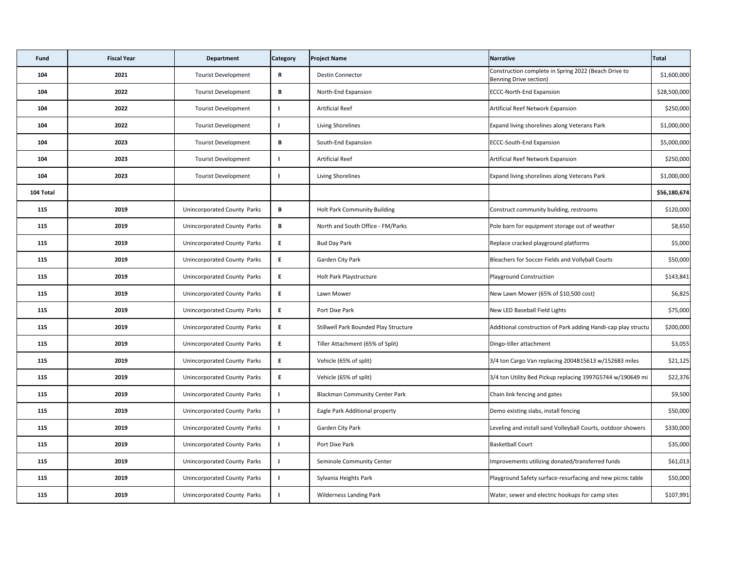| Fund      | <b>Fiscal Year</b> | <b>Department</b>                  | <b>Category</b> | <b>Project Name</b>                   | Narrative                                                                             | Total        |
|-----------|--------------------|------------------------------------|-----------------|---------------------------------------|---------------------------------------------------------------------------------------|--------------|
| 104       | 2021               | <b>Tourist Development</b>         | $\mathsf{R}$    | <b>Destin Connector</b>               | Construction complete in Spring 2022 (Beach Drive to<br><b>Benning Drive section)</b> | \$1,600,000  |
| 104       | 2022               | <b>Tourist Development</b>         | B               | North-End Expansion                   | <b>ECCC-North-End Expansion</b>                                                       | \$28,500,000 |
| 104       | 2022               | <b>Tourist Development</b>         |                 | <b>Artificial Reef</b>                | Artificial Reef Network Expansion                                                     | \$250,000    |
| 104       | 2022               | <b>Tourist Development</b>         |                 | Living Shorelines                     | Expand living shorelines along Veterans Park                                          | \$1,000,000  |
| 104       | 2023               | <b>Tourist Development</b>         | B               | South-End Expansion                   | <b>ECCC-South-End Expansion</b>                                                       | \$5,000,000  |
| 104       | 2023               | <b>Tourist Development</b>         |                 | <b>Artificial Reef</b>                | Artificial Reef Network Expansion                                                     | \$250,000    |
| 104       | 2023               | <b>Tourist Development</b>         |                 | Living Shorelines                     | Expand living shorelines along Veterans Park                                          | \$1,000,000  |
| 104 Total |                    |                                    |                 |                                       |                                                                                       | \$56,180,674 |
| 115       | 2019               | Unincorporated County Parks        | B               | <b>Holt Park Community Building</b>   | Construct community building, restrooms                                               | \$120,000    |
| 115       | 2019               | Unincorporated County Parks        | B               | North and South Office - FM/Parks     | Pole barn for equipment storage out of weather                                        | \$8,650      |
| 115       | 2019               | Unincorporated County Parks        | E               | <b>Bud Day Park</b>                   | Replace cracked playground platforms                                                  | \$5,000      |
| 115       | 2019               | <b>Unincorporated County Parks</b> | E               | <b>Garden City Park</b>               | Bleachers for Soccer Fields and Vollyball Courts                                      | \$50,000     |
| 115       | 2019               | Unincorporated County Parks        | E               | Holt Park Playstructure               | <b>Playground Construction</b>                                                        | \$143,841    |
| 115       | 2019               | Unincorporated County Parks        | E               | Lawn Mower                            | New Lawn Mower (65% of \$10,500 cost)                                                 | \$6,825      |
| 115       | 2019               | Unincorporated County Parks        | E               | Port Dixe Park                        | New LED Baseball Field Lights                                                         | \$75,000     |
| 115       | 2019               | Unincorporated County Parks        | E               | Stillwell Park Bounded Play Structure | Additional construction of Park adding Handi-cap play structu                         | \$200,000    |
| 115       | 2019               | Unincorporated County Parks        | E               | Tiller Attachment (65% of Split)      | Dingo-tiller attachment                                                               | \$3,055      |
| 115       | 2019               | <b>Unincorporated County Parks</b> | E               | Vehicle (65% of split)                | 3/4 ton Cargo Van replacing 2004B15613 w/152683 miles                                 | \$21,125     |
| 115       | 2019               | <b>Unincorporated County Parks</b> | E               | Vehicle (65% of split)                | 3/4 ton Utility Bed Pickup replacing 1997G5744 w/190649 mi                            | \$22,376     |
| 115       | 2019               | Unincorporated County Parks        |                 | <b>Blackman Community Center Park</b> | Chain link fencing and gates                                                          | \$9,500      |
| 115       | 2019               | Unincorporated County Parks        |                 | Eagle Park Additional property        | Demo existing slabs, install fencing                                                  | \$50,000     |
| 115       | 2019               | Unincorporated County Parks        |                 | <b>Garden City Park</b>               | Leveling and install sand Volleyball Courts, outdoor showers                          | \$330,000    |
| 115       | 2019               | Unincorporated County Parks        |                 | Port Dixe Park                        | <b>Basketball Court</b>                                                               | \$35,000     |
| 115       | 2019               | Unincorporated County Parks        |                 | Seminole Community Center             | Improvements utilizing donated/transferred funds                                      | \$61,013     |
| 115       | 2019               | Unincorporated County Parks        |                 | Sylvania Heights Park                 | Playground Safety surface-resurfacing and new picnic table                            | \$50,000     |
| 115       | 2019               | Unincorporated County Parks        |                 | <b>Wilderness Landing Park</b>        | Water, sewer and electric hookups for camp sites                                      | \$107,991    |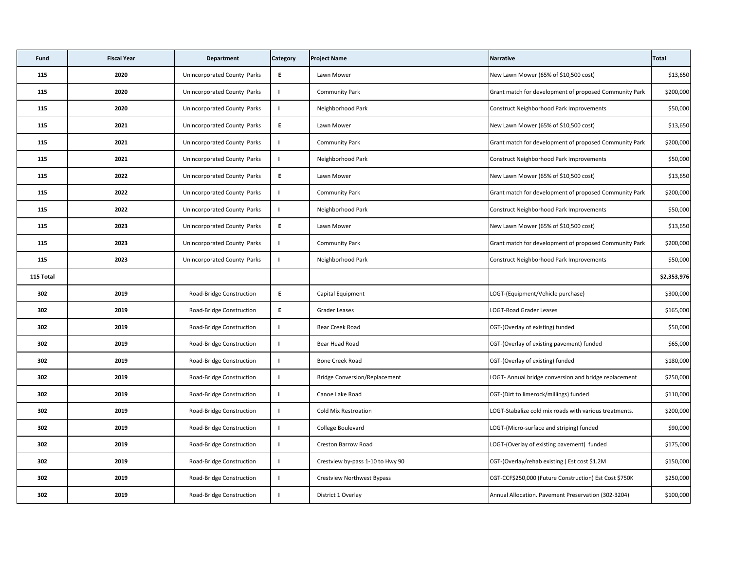| <b>Fund</b> | <b>Fiscal Year</b> | <b>Department</b>                  | <b>Category</b> | <b>Project Name</b>                  | Narrative                                              | Total       |
|-------------|--------------------|------------------------------------|-----------------|--------------------------------------|--------------------------------------------------------|-------------|
| 115         | 2020               | Unincorporated County Parks        | E               | Lawn Mower                           | New Lawn Mower (65% of \$10,500 cost)                  | \$13,650    |
| 115         | 2020               | Unincorporated County Parks        |                 | <b>Community Park</b>                | Grant match for development of proposed Community Park | \$200,000   |
| 115         | 2020               | Unincorporated County Parks        |                 | Neighborhood Park                    | Construct Neighborhood Park Improvements               | \$50,000    |
| 115         | 2021               | Unincorporated County Parks        | E               | Lawn Mower                           | New Lawn Mower (65% of \$10,500 cost)                  | \$13,650    |
| 115         | 2021               | Unincorporated County Parks        |                 | <b>Community Park</b>                | Grant match for development of proposed Community Park | \$200,000   |
| 115         | 2021               | <b>Unincorporated County Parks</b> |                 | Neighborhood Park                    | Construct Neighborhood Park Improvements               | \$50,000    |
| 115         | 2022               | Unincorporated County Parks        | E               | Lawn Mower                           | New Lawn Mower (65% of \$10,500 cost)                  | \$13,650    |
| 115         | 2022               | Unincorporated County Parks        |                 | <b>Community Park</b>                | Grant match for development of proposed Community Park | \$200,000   |
| 115         | 2022               | Unincorporated County Parks        |                 | Neighborhood Park                    | Construct Neighborhood Park Improvements               | \$50,000    |
| 115         | 2023               | Unincorporated County Parks        | E               | Lawn Mower                           | New Lawn Mower (65% of \$10,500 cost)                  | \$13,650    |
| 115         | 2023               | Unincorporated County Parks        |                 | <b>Community Park</b>                | Grant match for development of proposed Community Park | \$200,000   |
| 115         | 2023               | <b>Unincorporated County Parks</b> |                 | Neighborhood Park                    | Construct Neighborhood Park Improvements               | \$50,000    |
| 115 Total   |                    |                                    |                 |                                      |                                                        | \$2,353,976 |
| 302         | 2019               | Road-Bridge Construction           | E               | Capital Equipment                    | LOGT-(Equipment/Vehicle purchase)                      | \$300,000   |
| 302         | 2019               | Road-Bridge Construction           | E.              | Grader Leases                        | LOGT-Road Grader Leases                                | \$165,000   |
| 302         | 2019               | Road-Bridge Construction           |                 | Bear Creek Road                      | CGT-(Overlay of existing) funded                       | \$50,000    |
| 302         | 2019               | Road-Bridge Construction           |                 | Bear Head Road                       | CGT-(Overlay of existing pavement) funded              | \$65,000    |
| 302         | 2019               | Road-Bridge Construction           |                 | <b>Bone Creek Road</b>               | CGT-(Overlay of existing) funded                       | \$180,000   |
| 302         | 2019               | Road-Bridge Construction           |                 | <b>Bridge Conversion/Replacement</b> | LOGT- Annual bridge conversion and bridge replacement  | \$250,000   |
| 302         | 2019               | Road-Bridge Construction           |                 | Canoe Lake Road                      | CGT-(Dirt to limerock/millings) funded                 | \$110,000   |
| 302         | 2019               | Road-Bridge Construction           |                 | <b>Cold Mix Restroation</b>          | LOGT-Stabalize cold mix roads with various treatments. | \$200,000   |
| 302         | 2019               | Road-Bridge Construction           |                 | College Boulevard                    | LOGT-(Micro-surface and striping) funded               | \$90,000    |
| 302         | 2019               | Road-Bridge Construction           |                 | <b>Creston Barrow Road</b>           | LOGT-(Overlay of existing pavement) funded             | \$175,000   |
| 302         | 2019               | Road-Bridge Construction           |                 | Crestview by-pass 1-10 to Hwy 90     | CGT-(Overlay/rehab existing) Est cost \$1.2M           | \$150,000   |
| 302         | 2019               | Road-Bridge Construction           |                 | <b>Crestview Northwest Bypass</b>    | CGT-CCF\$250,000 (Future Construction) Est Cost \$750K | \$250,000   |
| 302         | 2019               | Road-Bridge Construction           |                 | District 1 Overlay                   | Annual Allocation. Pavement Preservation (302-3204)    | \$100,000   |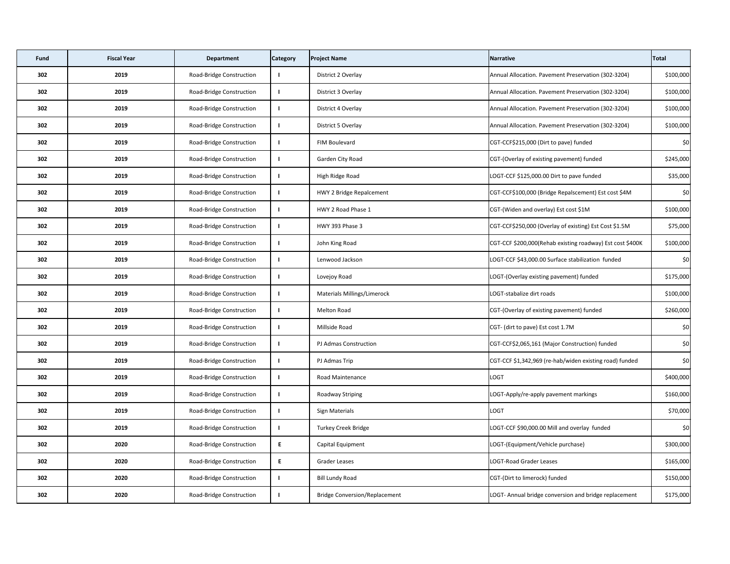| <b>Fund</b> | <b>Fiscal Year</b> | <b>Department</b>        | <b>Category</b> | <b>Project Name</b>                  | <b>Narrative</b>                                          | Total     |
|-------------|--------------------|--------------------------|-----------------|--------------------------------------|-----------------------------------------------------------|-----------|
| 302         | 2019               | Road-Bridge Construction |                 | District 2 Overlay                   | Annual Allocation. Pavement Preservation (302-3204)       | \$100,000 |
| 302         | 2019               | Road-Bridge Construction |                 | District 3 Overlay                   | Annual Allocation. Pavement Preservation (302-3204)       | \$100,000 |
| 302         | 2019               | Road-Bridge Construction |                 | District 4 Overlay                   | Annual Allocation. Pavement Preservation (302-3204)       | \$100,000 |
| 302         | 2019               | Road-Bridge Construction |                 | District 5 Overlay                   | Annual Allocation. Pavement Preservation (302-3204)       | \$100,000 |
| 302         | 2019               | Road-Bridge Construction |                 | FIM Boulevard                        | CGT-CCF\$215,000 (Dirt to pave) funded                    | \$0       |
| 302         | 2019               | Road-Bridge Construction |                 | Garden City Road                     | CGT-(Overlay of existing pavement) funded                 | \$245,000 |
| 302         | 2019               | Road-Bridge Construction |                 | High Ridge Road                      | LOGT-CCF \$125,000.00 Dirt to pave funded                 | \$35,000  |
| 302         | 2019               | Road-Bridge Construction |                 | HWY 2 Bridge Repalcement             | CGT-CCF\$100,000 (Bridge Repalscement) Est cost \$4M      | \$0       |
| 302         | 2019               | Road-Bridge Construction |                 | HWY 2 Road Phase 1                   | CGT-(Widen and overlay) Est cost \$1M                     | \$100,000 |
| 302         | 2019               | Road-Bridge Construction |                 | HWY 393 Phase 3                      | CGT-CCF\$250,000 (Overlay of existing) Est Cost \$1.5M    | \$75,000  |
| 302         | 2019               | Road-Bridge Construction |                 | John King Road                       | CGT-CCF \$200,000(Rehab existing roadway) Est cost \$400K | \$100,000 |
| 302         | 2019               | Road-Bridge Construction |                 | Lenwood Jackson                      | LOGT-CCF \$43,000.00 Surface stabilization funded         | \$0       |
| 302         | 2019               | Road-Bridge Construction |                 | Lovejoy Road                         | LOGT-(Overlay existing pavement) funded                   | \$175,000 |
| 302         | 2019               | Road-Bridge Construction |                 | <b>Materials Millings/Limerock</b>   | LOGT-stabalize dirt roads                                 | \$100,000 |
| 302         | 2019               | Road-Bridge Construction |                 | Melton Road                          | CGT-(Overlay of existing pavement) funded                 | \$260,000 |
| 302         | 2019               | Road-Bridge Construction |                 | Millside Road                        | CGT- (dirt to pave) Est cost 1.7M                         | \$0       |
| 302         | 2019               | Road-Bridge Construction |                 | PJ Admas Construction                | CGT-CCF\$2,065,161 (Major Construction) funded            | \$0       |
| 302         | 2019               | Road-Bridge Construction |                 | PJ Admas Trip                        | CGT-CCF \$1,342,969 (re-hab/widen existing road) funded   | \$0       |
| 302         | 2019               | Road-Bridge Construction |                 | <b>Road Maintenance</b>              | <b>LOGT</b>                                               | \$400,000 |
| 302         | 2019               | Road-Bridge Construction |                 | <b>Roadway Striping</b>              | LOGT-Apply/re-apply pavement markings                     | \$160,000 |
| 302         | 2019               | Road-Bridge Construction |                 | <b>Sign Materials</b>                | <b>LOGT</b>                                               | \$70,000  |
| 302         | 2019               | Road-Bridge Construction |                 | <b>Turkey Creek Bridge</b>           | LOGT-CCF \$90,000.00 Mill and overlay funded              | \$0       |
| 302         | 2020               | Road-Bridge Construction | E               | Capital Equipment                    | LOGT-(Equipment/Vehicle purchase)                         | \$300,000 |
| 302         | 2020               | Road-Bridge Construction | E               | <b>Grader Leases</b>                 | <b>LOGT-Road Grader Leases</b>                            | \$165,000 |
| 302         | 2020               | Road-Bridge Construction |                 | <b>Bill Lundy Road</b>               | CGT-(Dirt to limerock) funded                             | \$150,000 |
| 302         | 2020               | Road-Bridge Construction |                 | <b>Bridge Conversion/Replacement</b> | LOGT- Annual bridge conversion and bridge replacement     | \$175,000 |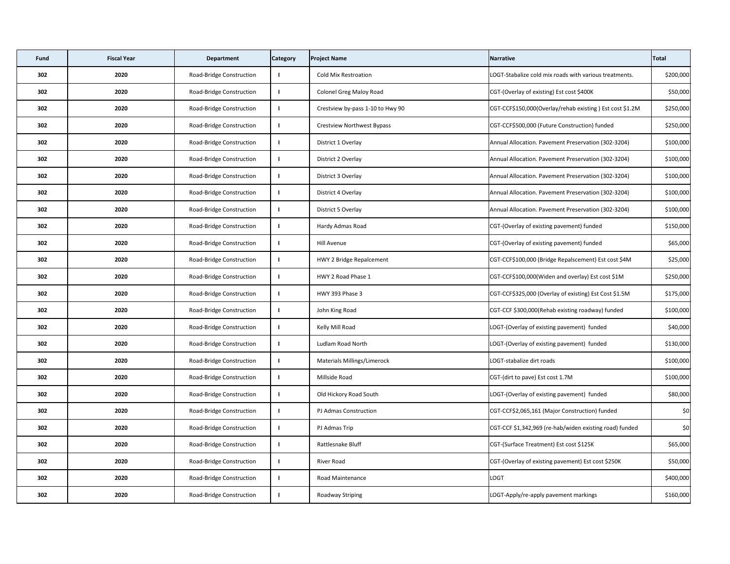| <b>Fund</b> | <b>Fiscal Year</b> | <b>Department</b>        | <b>Category</b> | <b>Project Name</b>                | Narrative                                                | Total     |
|-------------|--------------------|--------------------------|-----------------|------------------------------------|----------------------------------------------------------|-----------|
| 302         | 2020               | Road-Bridge Construction |                 | <b>Cold Mix Restroation</b>        | LOGT-Stabalize cold mix roads with various treatments.   | \$200,000 |
| 302         | 2020               | Road-Bridge Construction |                 | <b>Colonel Greg Maloy Road</b>     | CGT-(Overlay of existing) Est cost \$400K                | \$50,000  |
| 302         | 2020               | Road-Bridge Construction |                 | Crestview by-pass 1-10 to Hwy 90   | CGT-CCF\$150,000(Overlay/rehab existing) Est cost \$1.2M | \$250,000 |
| 302         | 2020               | Road-Bridge Construction |                 | <b>Crestview Northwest Bypass</b>  | CGT-CCF\$500,000 (Future Construction) funded            | \$250,000 |
| 302         | 2020               | Road-Bridge Construction |                 | District 1 Overlay                 | Annual Allocation. Pavement Preservation (302-3204)      | \$100,000 |
| 302         | 2020               | Road-Bridge Construction |                 | District 2 Overlay                 | Annual Allocation. Pavement Preservation (302-3204)      | \$100,000 |
| 302         | 2020               | Road-Bridge Construction |                 | District 3 Overlay                 | Annual Allocation. Pavement Preservation (302-3204)      | \$100,000 |
| 302         | 2020               | Road-Bridge Construction |                 | District 4 Overlay                 | Annual Allocation. Pavement Preservation (302-3204)      | \$100,000 |
| 302         | 2020               | Road-Bridge Construction |                 | District 5 Overlay                 | Annual Allocation. Pavement Preservation (302-3204)      | \$100,000 |
| 302         | 2020               | Road-Bridge Construction |                 | Hardy Admas Road                   | CGT-(Overlay of existing pavement) funded                | \$150,000 |
| 302         | 2020               | Road-Bridge Construction |                 | <b>Hill Avenue</b>                 | CGT-(Overlay of existing pavement) funded                | \$65,000  |
| 302         | 2020               | Road-Bridge Construction |                 | HWY 2 Bridge Repalcement           | CGT-CCF\$100,000 (Bridge Repalscement) Est cost \$4M     | \$25,000  |
| 302         | 2020               | Road-Bridge Construction |                 | HWY 2 Road Phase 1                 | CGT-CCF\$100,000(Widen and overlay) Est cost \$1M        | \$250,000 |
| 302         | 2020               | Road-Bridge Construction |                 | HWY 393 Phase 3                    | CGT-CCF\$325,000 (Overlay of existing) Est Cost \$1.5M   | \$175,000 |
| 302         | 2020               | Road-Bridge Construction |                 | John King Road                     | CGT-CCF \$300,000(Rehab existing roadway) funded         | \$100,000 |
| 302         | 2020               | Road-Bridge Construction |                 | Kelly Mill Road                    | LOGT-(Overlay of existing pavement) funded               | \$40,000  |
| 302         | 2020               | Road-Bridge Construction |                 | Ludlam Road North                  | LOGT-(Overlay of existing pavement) funded               | \$130,000 |
| 302         | 2020               | Road-Bridge Construction |                 | <b>Materials Millings/Limerock</b> | LOGT-stabalize dirt roads                                | \$100,000 |
| 302         | 2020               | Road-Bridge Construction |                 | Millside Road                      | CGT-(dirt to pave) Est cost 1.7M                         | \$100,000 |
| 302         | 2020               | Road-Bridge Construction |                 | Old Hickory Road South             | LOGT-(Overlay of existing pavement) funded               | \$80,000  |
| 302         | 2020               | Road-Bridge Construction |                 | PJ Admas Construction              | CGT-CCF\$2,065,161 (Major Construction) funded           | \$0       |
| 302         | 2020               | Road-Bridge Construction |                 | PJ Admas Trip                      | CGT-CCF \$1,342,969 (re-hab/widen existing road) funded  | \$0       |
| 302         | 2020               | Road-Bridge Construction |                 | Rattlesnake Bluff                  | CGT-(Surface Treatment) Est cost \$125K                  | \$65,000  |
| 302         | 2020               | Road-Bridge Construction |                 | River Road                         | CGT-(Overlay of existing pavement) Est cost \$250K       | \$50,000  |
| 302         | 2020               | Road-Bridge Construction |                 | <b>Road Maintenance</b>            | <b>LOGT</b>                                              | \$400,000 |
| 302         | 2020               | Road-Bridge Construction |                 | Roadway Striping                   | LOGT-Apply/re-apply pavement markings                    | \$160,000 |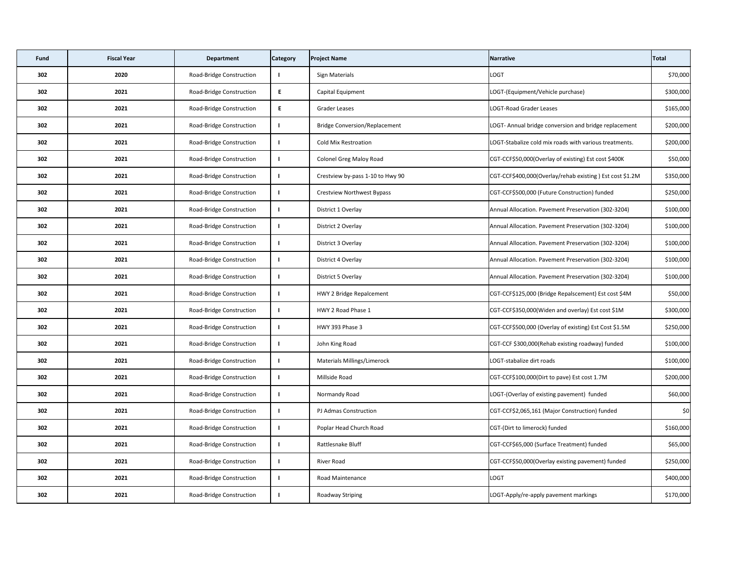| <b>Fund</b> | <b>Fiscal Year</b> | <b>Department</b>               | <b>Category</b> | <b>Project Name</b>                  | Narrative                                                | <b>Total</b> |
|-------------|--------------------|---------------------------------|-----------------|--------------------------------------|----------------------------------------------------------|--------------|
| 302         | 2020               | Road-Bridge Construction        |                 | <b>Sign Materials</b>                | <b>LOGT</b>                                              | \$70,000     |
| 302         | 2021               | Road-Bridge Construction        | E.              | Capital Equipment                    | LOGT-(Equipment/Vehicle purchase)                        | \$300,000    |
| 302         | 2021               | Road-Bridge Construction        | E.              | <b>Grader Leases</b>                 | LOGT-Road Grader Leases                                  | \$165,000    |
| 302         | 2021               | Road-Bridge Construction        |                 | <b>Bridge Conversion/Replacement</b> | LOGT- Annual bridge conversion and bridge replacement    | \$200,000    |
| 302         | 2021               | Road-Bridge Construction        |                 | <b>Cold Mix Restroation</b>          | LOGT-Stabalize cold mix roads with various treatments.   | \$200,000    |
| 302         | 2021               | Road-Bridge Construction        |                 | <b>Colonel Greg Maloy Road</b>       | CGT-CCF\$50,000(Overlay of existing) Est cost \$400K     | \$50,000     |
| 302         | 2021               | Road-Bridge Construction        |                 | Crestview by-pass 1-10 to Hwy 90     | CGT-CCF\$400,000(Overlay/rehab existing) Est cost \$1.2M | \$350,000    |
| 302         | 2021               | Road-Bridge Construction        |                 | Crestview Northwest Bypass           | CGT-CCF\$500,000 (Future Construction) funded            | \$250,000    |
| 302         | 2021               | Road-Bridge Construction        |                 | District 1 Overlay                   | Annual Allocation. Pavement Preservation (302-3204)      | \$100,000    |
| 302         | 2021               | Road-Bridge Construction        |                 | District 2 Overlay                   | Annual Allocation. Pavement Preservation (302-3204)      | \$100,000    |
| 302         | 2021               | Road-Bridge Construction        |                 | District 3 Overlay                   | Annual Allocation. Pavement Preservation (302-3204)      | \$100,000    |
| 302         | 2021               | Road-Bridge Construction        |                 | District 4 Overlay                   | Annual Allocation. Pavement Preservation (302-3204)      | \$100,000    |
| 302         | 2021               | Road-Bridge Construction        |                 | District 5 Overlay                   | Annual Allocation. Pavement Preservation (302-3204)      | \$100,000    |
| 302         | 2021               | Road-Bridge Construction        |                 | HWY 2 Bridge Repalcement             | CGT-CCF\$125,000 (Bridge Repalscement) Est cost \$4M     | \$50,000     |
| 302         | 2021               | Road-Bridge Construction        |                 | HWY 2 Road Phase 1                   | CGT-CCF\$350,000(Widen and overlay) Est cost \$1M        | \$300,000    |
| 302         | 2021               | Road-Bridge Construction        |                 | HWY 393 Phase 3                      | CGT-CCF\$500,000 (Overlay of existing) Est Cost \$1.5M   | \$250,000    |
| 302         | 2021               | <b>Road-Bridge Construction</b> |                 | John King Road                       | CGT-CCF \$300,000(Rehab existing roadway) funded         | \$100,000    |
| 302         | 2021               | Road-Bridge Construction        |                 | <b>Materials Millings/Limerock</b>   | LOGT-stabalize dirt roads                                | \$100,000    |
| 302         | 2021               | Road-Bridge Construction        |                 | Millside Road                        | CGT-CCF\$100,000(Dirt to pave) Est cost 1.7M             | \$200,000    |
| 302         | 2021               | Road-Bridge Construction        |                 | Normandy Road                        | LOGT-(Overlay of existing pavement) funded               | \$60,000     |
| 302         | 2021               | Road-Bridge Construction        |                 | PJ Admas Construction                | CGT-CCF\$2,065,161 (Major Construction) funded           | \$0          |
| 302         | 2021               | Road-Bridge Construction        |                 | Poplar Head Church Road              | CGT-(Dirt to limerock) funded                            | \$160,000    |
| 302         | 2021               | Road-Bridge Construction        |                 | Rattlesnake Bluff                    | CGT-CCF\$65,000 (Surface Treatment) funded               | \$65,000     |
| 302         | 2021               | Road-Bridge Construction        |                 | River Road                           | CGT-CCF\$50,000(Overlay existing pavement) funded        | \$250,000    |
| 302         | 2021               | Road-Bridge Construction        |                 | <b>Road Maintenance</b>              | LOGT                                                     | \$400,000    |
| 302         | 2021               | Road-Bridge Construction        |                 | <b>Roadway Striping</b>              | LOGT-Apply/re-apply pavement markings                    | \$170,000    |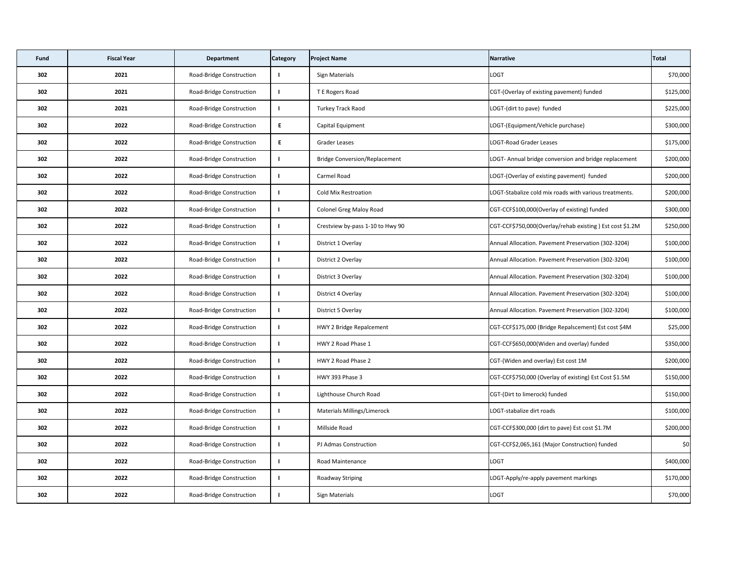| <b>Fund</b> | <b>Fiscal Year</b> | <b>Department</b>               | <b>Category</b> | <b>Project Name</b>                  | Narrative                                                | Total     |
|-------------|--------------------|---------------------------------|-----------------|--------------------------------------|----------------------------------------------------------|-----------|
| 302         | 2021               | Road-Bridge Construction        |                 | <b>Sign Materials</b>                | <b>LOGT</b>                                              | \$70,000  |
| 302         | 2021               | Road-Bridge Construction        |                 | T E Rogers Road                      | CGT-(Overlay of existing pavement) funded                | \$125,000 |
| 302         | 2021               | Road-Bridge Construction        |                 | <b>Turkey Track Raod</b>             | LOGT-(dirt to pave) funded                               | \$225,000 |
| 302         | 2022               | Road-Bridge Construction        | E               | Capital Equipment                    | LOGT-(Equipment/Vehicle purchase)                        | \$300,000 |
| 302         | 2022               | Road-Bridge Construction        | E.              | <b>Grader Leases</b>                 | LOGT-Road Grader Leases                                  | \$175,000 |
| 302         | 2022               | Road-Bridge Construction        |                 | <b>Bridge Conversion/Replacement</b> | LOGT- Annual bridge conversion and bridge replacement    | \$200,000 |
| 302         | 2022               | Road-Bridge Construction        |                 | Carmel Road                          | LOGT-(Overlay of existing pavement) funded               | \$200,000 |
| 302         | 2022               | Road-Bridge Construction        |                 | <b>Cold Mix Restroation</b>          | LOGT-Stabalize cold mix roads with various treatments.   | \$200,000 |
| 302         | 2022               | Road-Bridge Construction        |                 | <b>Colonel Greg Maloy Road</b>       | CGT-CCF\$100,000(Overlay of existing) funded             | \$300,000 |
| 302         | 2022               | Road-Bridge Construction        |                 | Crestview by-pass 1-10 to Hwy 90     | CGT-CCF\$750,000(Overlay/rehab existing) Est cost \$1.2M | \$250,000 |
| 302         | 2022               | Road-Bridge Construction        |                 | District 1 Overlay                   | Annual Allocation. Pavement Preservation (302-3204)      | \$100,000 |
| 302         | 2022               | Road-Bridge Construction        |                 | District 2 Overlay                   | Annual Allocation. Pavement Preservation (302-3204)      | \$100,000 |
| 302         | 2022               | Road-Bridge Construction        |                 | District 3 Overlay                   | Annual Allocation. Pavement Preservation (302-3204)      | \$100,000 |
| 302         | 2022               | Road-Bridge Construction        |                 | District 4 Overlay                   | Annual Allocation. Pavement Preservation (302-3204)      | \$100,000 |
| 302         | 2022               | Road-Bridge Construction        |                 | District 5 Overlay                   | Annual Allocation. Pavement Preservation (302-3204)      | \$100,000 |
| 302         | 2022               | Road-Bridge Construction        |                 | HWY 2 Bridge Repalcement             | CGT-CCF\$175,000 (Bridge Repalscement) Est cost \$4M     | \$25,000  |
| 302         | 2022               | Road-Bridge Construction        |                 | HWY 2 Road Phase 1                   | CGT-CCF\$650,000(Widen and overlay) funded               | \$350,000 |
| 302         | 2022               | Road-Bridge Construction        |                 | HWY 2 Road Phase 2                   | CGT-(Widen and overlay) Est cost 1M                      | \$200,000 |
| 302         | 2022               | <b>Road-Bridge Construction</b> |                 | HWY 393 Phase 3                      | CGT-CCF\$750,000 (Overlay of existing) Est Cost \$1.5M   | \$150,000 |
| 302         | 2022               | Road-Bridge Construction        |                 | Lighthouse Church Road               | CGT-(Dirt to limerock) funded                            | \$150,000 |
| 302         | 2022               | Road-Bridge Construction        |                 | <b>Materials Millings/Limerock</b>   | LOGT-stabalize dirt roads                                | \$100,000 |
| 302         | 2022               | Road-Bridge Construction        |                 | Millside Road                        | CGT-CCF\$300,000 (dirt to pave) Est cost \$1.7M          | \$200,000 |
| 302         | 2022               | Road-Bridge Construction        |                 | PJ Admas Construction                | CGT-CCF\$2,065,161 (Major Construction) funded           | \$0       |
| 302         | 2022               | Road-Bridge Construction        |                 | <b>Road Maintenance</b>              | LOGT                                                     | \$400,000 |
| 302         | 2022               | Road-Bridge Construction        |                 | <b>Roadway Striping</b>              | LOGT-Apply/re-apply pavement markings                    | \$170,000 |
| 302         | 2022               | Road-Bridge Construction        |                 | <b>Sign Materials</b>                | LOGT                                                     | \$70,000  |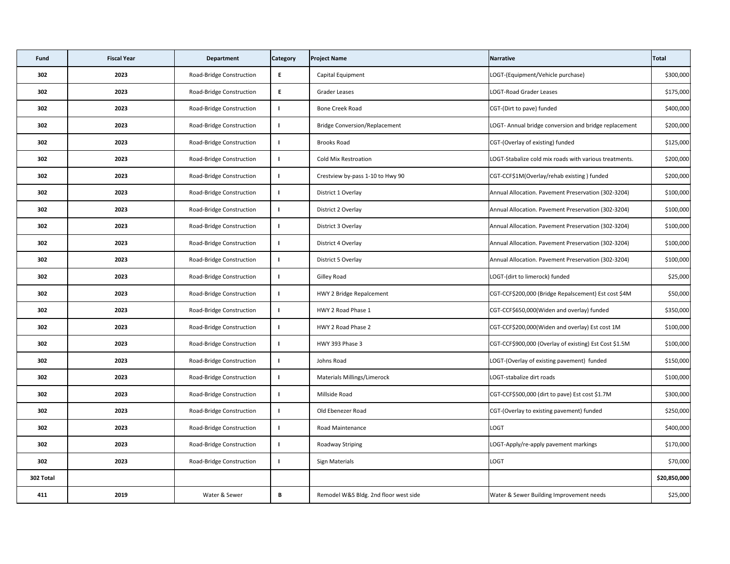| Fund      | <b>Fiscal Year</b> | <b>Department</b>        | <b>Category</b> | <b>Project Name</b>                   | Narrative                                              | Total        |
|-----------|--------------------|--------------------------|-----------------|---------------------------------------|--------------------------------------------------------|--------------|
| 302       | 2023               | Road-Bridge Construction | E               | Capital Equipment                     | LOGT-(Equipment/Vehicle purchase)                      | \$300,000    |
| 302       | 2023               | Road-Bridge Construction | E               | <b>Grader Leases</b>                  | LOGT-Road Grader Leases                                | \$175,000    |
| 302       | 2023               | Road-Bridge Construction |                 | <b>Bone Creek Road</b>                | CGT-(Dirt to pave) funded                              | \$400,000    |
| 302       | 2023               | Road-Bridge Construction |                 | <b>Bridge Conversion/Replacement</b>  | LOGT- Annual bridge conversion and bridge replacement  | \$200,000    |
| 302       | 2023               | Road-Bridge Construction |                 | <b>Brooks Road</b>                    | CGT-(Overlay of existing) funded                       | \$125,000    |
| 302       | 2023               | Road-Bridge Construction |                 | <b>Cold Mix Restroation</b>           | LOGT-Stabalize cold mix roads with various treatments. | \$200,000    |
| 302       | 2023               | Road-Bridge Construction |                 | Crestview by-pass 1-10 to Hwy 90      | CGT-CCF\$1M(Overlay/rehab existing) funded             | \$200,000    |
| 302       | 2023               | Road-Bridge Construction |                 | District 1 Overlay                    | Annual Allocation. Pavement Preservation (302-3204)    | \$100,000    |
| 302       | 2023               | Road-Bridge Construction |                 | District 2 Overlay                    | Annual Allocation. Pavement Preservation (302-3204)    | \$100,000    |
| 302       | 2023               | Road-Bridge Construction |                 | District 3 Overlay                    | Annual Allocation. Pavement Preservation (302-3204)    | \$100,000    |
| 302       | 2023               | Road-Bridge Construction |                 | District 4 Overlay                    | Annual Allocation. Pavement Preservation (302-3204)    | \$100,000    |
| 302       | 2023               | Road-Bridge Construction |                 | District 5 Overlay                    | Annual Allocation. Pavement Preservation (302-3204)    | \$100,000    |
| 302       | 2023               | Road-Bridge Construction |                 | <b>Gilley Road</b>                    | LOGT-(dirt to limerock) funded                         | \$25,000     |
| 302       | 2023               | Road-Bridge Construction |                 | HWY 2 Bridge Repalcement              | CGT-CCF\$200,000 (Bridge Repalscement) Est cost \$4M   | \$50,000     |
| 302       | 2023               | Road-Bridge Construction |                 | HWY 2 Road Phase 1                    | CGT-CCF\$650,000(Widen and overlay) funded             | \$350,000    |
| 302       | 2023               | Road-Bridge Construction |                 | HWY 2 Road Phase 2                    | CGT-CCF\$200,000(Widen and overlay) Est cost 1M        | \$100,000    |
| 302       | 2023               | Road-Bridge Construction |                 | HWY 393 Phase 3                       | CGT-CCF\$900,000 (Overlay of existing) Est Cost \$1.5M | \$100,000    |
| 302       | 2023               | Road-Bridge Construction |                 | Johns Road                            | LOGT-(Overlay of existing pavement) funded             | \$150,000    |
| 302       | 2023               | Road-Bridge Construction |                 | <b>Materials Millings/Limerock</b>    | LOGT-stabalize dirt roads                              | \$100,000    |
| 302       | 2023               | Road-Bridge Construction |                 | Millside Road                         | CGT-CCF\$500,000 (dirt to pave) Est cost \$1.7M        | \$300,000    |
| 302       | 2023               | Road-Bridge Construction |                 | Old Ebenezer Road                     | CGT-(Overlay to existing pavement) funded              | \$250,000    |
| 302       | 2023               | Road-Bridge Construction |                 | <b>Road Maintenance</b>               | <b>LOGT</b>                                            | \$400,000    |
| 302       | 2023               | Road-Bridge Construction |                 | <b>Roadway Striping</b>               | LOGT-Apply/re-apply pavement markings                  | \$170,000    |
| 302       | 2023               | Road-Bridge Construction |                 | <b>Sign Materials</b>                 | <b>LOGT</b>                                            | \$70,000     |
| 302 Total |                    |                          |                 |                                       |                                                        | \$20,850,000 |
| 411       | 2019               | Water & Sewer            | B               | Remodel W&S Bldg. 2nd floor west side | Water & Sewer Building Improvement needs               | \$25,000     |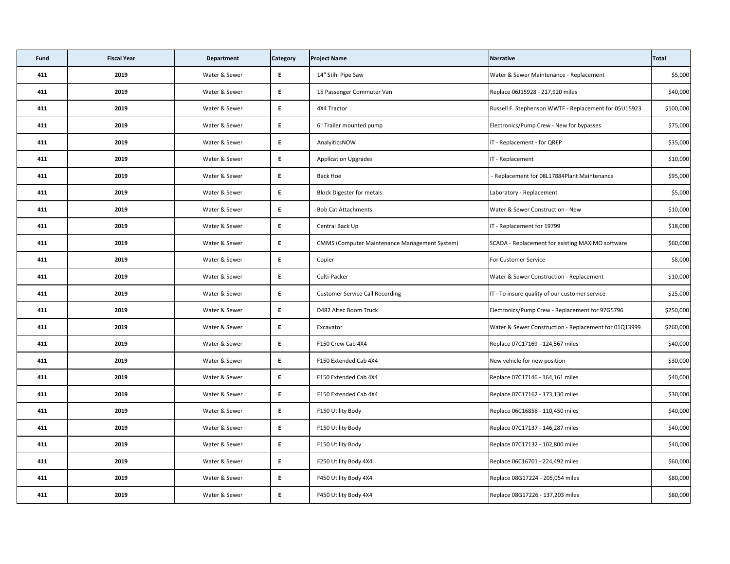| Fund | <b>Fiscal Year</b> | <b>Department</b> | <b>Category</b> | <b>Project Name</b>                                  | Narrative                                             | Total     |
|------|--------------------|-------------------|-----------------|------------------------------------------------------|-------------------------------------------------------|-----------|
| 411  | 2019               | Water & Sewer     | E               | 14" Stihl Pipe Saw                                   | Water & Sewer Maintenance - Replacement               | \$5,000   |
| 411  | 2019               | Water & Sewer     | E               | 15 Passenger Commuter Van                            | Replace 06J15928 - 217,920 miles                      | \$40,000  |
| 411  | 2019               | Water & Sewer     | E               | 4X4 Tractor                                          | Russell F. Stephenson WWTF - Replacement for 05U15923 | \$100,000 |
| 411  | 2019               | Water & Sewer     | E               | 6" Trailer mounted pump                              | Electronics/Pump Crew - New for bypasses              | \$75,000  |
| 411  | 2019               | Water & Sewer     | E               | AnalyiticsNOW                                        | IT - Replacement - for QREP                           | \$35,000  |
| 411  | 2019               | Water & Sewer     | E               | <b>Application Upgrades</b>                          | IT - Replacement                                      | \$10,000  |
| 411  | 2019               | Water & Sewer     | E               | <b>Back Hoe</b>                                      | - Replacement for 08L17884Plant Maintenance           | \$95,000  |
| 411  | 2019               | Water & Sewer     | E               | <b>Block Digester for metals</b>                     | Laboratory - Replacement                              | \$5,000   |
| 411  | 2019               | Water & Sewer     | E               | <b>Bob Cat Attachments</b>                           | Water & Sewer Construction - New                      | \$10,000  |
| 411  | 2019               | Water & Sewer     | E               | Central Back Up                                      | IT - Replacement for 19799                            | \$18,000  |
| 411  | 2019               | Water & Sewer     | E               | <b>CMMS (Computer Maintenance Management System)</b> | SCADA - Replacement for existing MAXIMO software      | \$60,000  |
| 411  | 2019               | Water & Sewer     | E               | Copier                                               | <b>For Customer Service</b>                           | \$8,000   |
| 411  | 2019               | Water & Sewer     | E.              | Culti-Packer                                         | Water & Sewer Construction - Replacement              | \$10,000  |
| 411  | 2019               | Water & Sewer     | E               | <b>Customer Service Call Recording</b>               | IT - To insure quality of our customer service        | \$25,000  |
| 411  | 2019               | Water & Sewer     | E.              | D482 Altec Boom Truck                                | Electronics/Pump Crew - Replacement for 97G5796       | \$250,000 |
| 411  | 2019               | Water & Sewer     | E               | Excavator                                            | Water & Sewer Construction - Replacement for 01Q13999 | \$260,000 |
| 411  | 2019               | Water & Sewer     | $E_{\parallel}$ | F150 Crew Cab 4X4                                    | Replace 07C17169 - 124,567 miles                      | \$40,000  |
| 411  | 2019               | Water & Sewer     | E               | F150 Extended Cab 4X4                                | New vehicle for new position                          | \$30,000  |
| 411  | 2019               | Water & Sewer     | $E_{\perp}$     | F150 Extended Cab 4X4                                | Replace 07C17146 - 164,161 miles                      | \$40,000  |
| 411  | 2019               | Water & Sewer     | E               | F150 Extended Cab 4X4                                | Replace 07C17162 - 173,130 miles                      | \$30,000  |
| 411  | 2019               | Water & Sewer     | E.              | F150 Utility Body                                    | Replace 06C16858 - 110,450 miles                      | \$40,000  |
| 411  | 2019               | Water & Sewer     | E               | F150 Utility Body                                    | Replace 07C17137 - 146,287 miles                      | \$40,000  |
| 411  | 2019               | Water & Sewer     | E               | F150 Utility Body                                    | Replace 07C17132 - 102,800 miles                      | \$40,000  |
| 411  | 2019               | Water & Sewer     | E               | F250 Utility Body 4X4                                | Replace 06C16701 - 224,492 miles                      | \$60,000  |
| 411  | 2019               | Water & Sewer     | E               | F450 Utility Body 4X4                                | Replace 08G17224 - 205,054 miles                      | \$80,000  |
| 411  | 2019               | Water & Sewer     | E.              | F450 Utility Body 4X4                                | Replace 08G17226 - 137,203 miles                      | \$80,000  |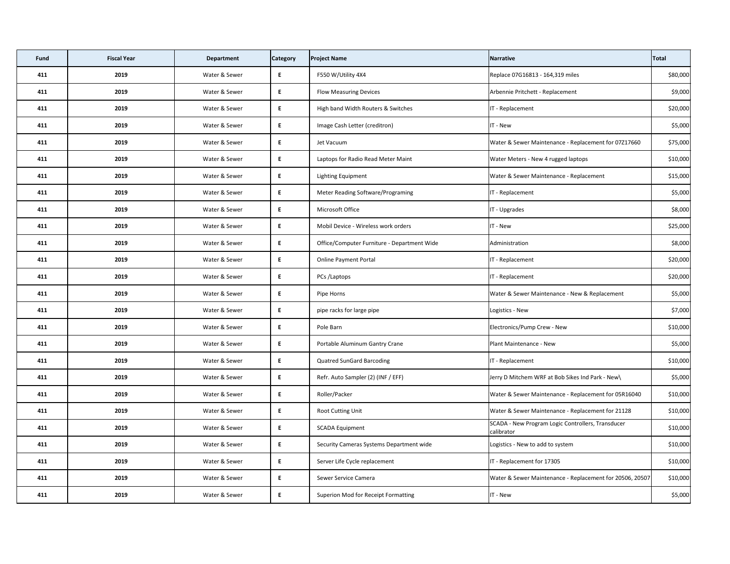| Fund | <b>Fiscal Year</b> | <b>Department</b> | <b>Category</b> | <b>Project Name</b>                         | Narrative                                                       | Total    |
|------|--------------------|-------------------|-----------------|---------------------------------------------|-----------------------------------------------------------------|----------|
| 411  | 2019               | Water & Sewer     | E               | F550 W/Utility 4X4                          | Replace 07G16813 - 164,319 miles                                | \$80,000 |
| 411  | 2019               | Water & Sewer     | E               | <b>Flow Measuring Devices</b>               | Arbennie Pritchett - Replacement                                | \$9,000  |
| 411  | 2019               | Water & Sewer     | E               | High band Width Routers & Switches          | IT - Replacement                                                | \$20,000 |
| 411  | 2019               | Water & Sewer     | E               | Image Cash Letter (creditron)               | IT - New                                                        | \$5,000  |
| 411  | 2019               | Water & Sewer     | E               | Jet Vacuum                                  | Water & Sewer Maintenance - Replacement for 07217660            | \$75,000 |
| 411  | 2019               | Water & Sewer     | E               | Laptops for Radio Read Meter Maint          | Water Meters - New 4 rugged laptops                             | \$10,000 |
| 411  | 2019               | Water & Sewer     | E               | Lighting Equipment                          | Water & Sewer Maintenance - Replacement                         | \$15,000 |
| 411  | 2019               | Water & Sewer     | E               | <b>Meter Reading Software/Programing</b>    | IT - Replacement                                                | \$5,000  |
| 411  | 2019               | Water & Sewer     | E               | Microsoft Office                            | IT - Upgrades                                                   | \$8,000  |
| 411  | 2019               | Water & Sewer     | E               | Mobil Device - Wireless work orders         | IT - New                                                        | \$25,000 |
| 411  | 2019               | Water & Sewer     | E               | Office/Computer Furniture - Department Wide | Administration                                                  | \$8,000  |
| 411  | 2019               | Water & Sewer     | E               | <b>Online Payment Portal</b>                | IT - Replacement                                                | \$20,000 |
| 411  | 2019               | Water & Sewer     | E.              | PCs /Laptops                                | IT - Replacement                                                | \$20,000 |
| 411  | 2019               | Water & Sewer     | E               | Pipe Horns                                  | Water & Sewer Maintenance - New & Replacement                   | \$5,000  |
| 411  | 2019               | Water & Sewer     | E.              | pipe racks for large pipe                   | Logistics - New                                                 | \$7,000  |
| 411  | 2019               | Water & Sewer     | E               | Pole Barn                                   | Electronics/Pump Crew - New                                     | \$10,000 |
| 411  | 2019               | Water & Sewer     | E               | Portable Aluminum Gantry Crane              | Plant Maintenance - New                                         | \$5,000  |
| 411  | 2019               | Water & Sewer     | E               | <b>Quatred SunGard Barcoding</b>            | IT - Replacement                                                | \$10,000 |
| 411  | 2019               | Water & Sewer     | E               | Refr. Auto Sampler (2) (INF / EFF)          | Jerry D Mitchem WRF at Bob Sikes Ind Park - New\                | \$5,000  |
| 411  | 2019               | Water & Sewer     | E               | Roller/Packer                               | Water & Sewer Maintenance - Replacement for 05R16040            | \$10,000 |
| 411  | 2019               | Water & Sewer     | E.              | Root Cutting Unit                           | Water & Sewer Maintenance - Replacement for 21128               | \$10,000 |
| 411  | 2019               | Water & Sewer     | E               | <b>SCADA Equipment</b>                      | SCADA - New Program Logic Controllers, Transducer<br>calibrator | \$10,000 |
| 411  | 2019               | Water & Sewer     | E               | Security Cameras Systems Department wide    | Logistics - New to add to system                                | \$10,000 |
| 411  | 2019               | Water & Sewer     | E               | Server Life Cycle replacement               | IT - Replacement for 17305                                      | \$10,000 |
| 411  | 2019               | Water & Sewer     | E               | Sewer Service Camera                        | Water & Sewer Maintenance - Replacement for 20506, 20507        | \$10,000 |
| 411  | 2019               | Water & Sewer     | E.              | <b>Superion Mod for Receipt Formatting</b>  | IT - New                                                        | \$5,000  |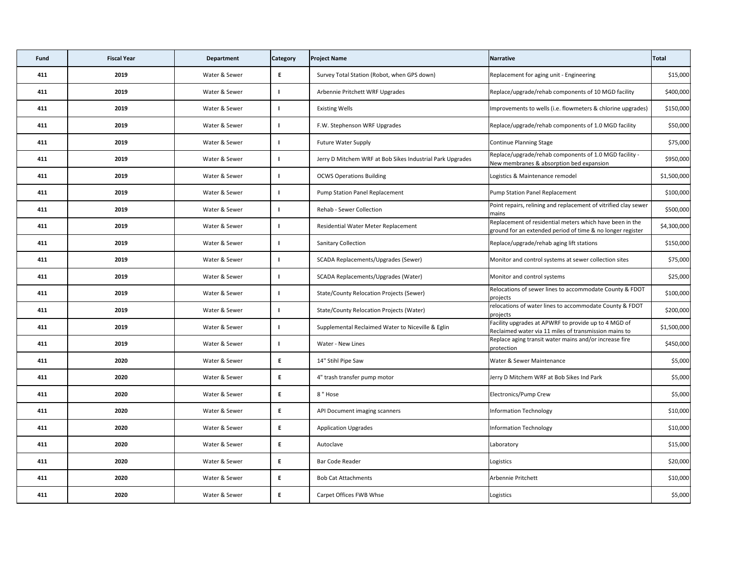| <b>Fund</b> | <b>Fiscal Year</b> | <b>Department</b> | <b>Category</b> | <b>Project Name</b>                                       | Narrative                                                                                                              | Total       |
|-------------|--------------------|-------------------|-----------------|-----------------------------------------------------------|------------------------------------------------------------------------------------------------------------------------|-------------|
| 411         | 2019               | Water & Sewer     | E               | Survey Total Station (Robot, when GPS down)               | Replacement for aging unit - Engineering                                                                               | \$15,000    |
| 411         | 2019               | Water & Sewer     |                 | Arbennie Pritchett WRF Upgrades                           | Replace/upgrade/rehab components of 10 MGD facility                                                                    | \$400,000   |
| 411         | 2019               | Water & Sewer     |                 | <b>Existing Wells</b>                                     | Improvements to wells (i.e. flowmeters & chlorine upgrades)                                                            | \$150,000   |
| 411         | 2019               | Water & Sewer     |                 | F.W. Stephenson WRF Upgrades                              | Replace/upgrade/rehab components of 1.0 MGD facility                                                                   | \$50,000    |
| 411         | 2019               | Water & Sewer     |                 | <b>Future Water Supply</b>                                | Continue Planning Stage                                                                                                | \$75,000    |
| 411         | 2019               | Water & Sewer     |                 | Jerry D Mitchem WRF at Bob Sikes Industrial Park Upgrades | Replace/upgrade/rehab components of 1.0 MGD facility -<br>New membranes & absorption bed expansion                     | \$950,000   |
| 411         | 2019               | Water & Sewer     |                 | <b>OCWS Operations Building</b>                           | Logistics & Maintenance remodel                                                                                        | \$1,500,000 |
| 411         | 2019               | Water & Sewer     |                 | <b>Pump Station Panel Replacement</b>                     | Pump Station Panel Replacement                                                                                         | \$100,000   |
| 411         | 2019               | Water & Sewer     |                 | Rehab - Sewer Collection                                  | Point repairs, relining and replacement of vitrified clay sewer<br>mains                                               | \$500,000   |
| 411         | 2019               | Water & Sewer     |                 | Residential Water Meter Replacement                       | Replacement of residential meters which have been in the<br>ground for an extended period of time & no longer register | \$4,300,000 |
| 411         | 2019               | Water & Sewer     |                 | <b>Sanitary Collection</b>                                | Replace/upgrade/rehab aging lift stations                                                                              | \$150,000   |
| 411         | 2019               | Water & Sewer     |                 | SCADA Replacements/Upgrades (Sewer)                       | Monitor and control systems at sewer collection sites                                                                  | \$75,000    |
| 411         | 2019               | Water & Sewer     |                 | SCADA Replacements/Upgrades (Water)                       | Monitor and control systems                                                                                            | \$25,000    |
| 411         | 2019               | Water & Sewer     |                 | <b>State/County Relocation Projects (Sewer)</b>           | Relocations of sewer lines to accommodate County & FDOT<br>projects                                                    | \$100,000   |
| 411         | 2019               | Water & Sewer     |                 | <b>State/County Relocation Projects (Water)</b>           | relocations of water lines to accommodate County & FDOT<br>projects                                                    | \$200,000   |
| 411         | 2019               | Water & Sewer     |                 | Supplemental Reclaimed Water to Niceville & Eglin         | Facility upgrades at APWRF to provide up to 4 MGD of<br>Reclaimed water via 11 miles of transmission mains to          | \$1,500,000 |
| 411         | 2019               | Water & Sewer     |                 | Water - New Lines                                         | Replace aging transit water mains and/or increase fire<br>protection                                                   | \$450,000   |
| 411         | 2020               | Water & Sewer     | E               | 14" Stihl Pipe Saw                                        | Water & Sewer Maintenance                                                                                              | \$5,000     |
| 411         | 2020               | Water & Sewer     | E               | 4" trash transfer pump motor                              | Jerry D Mitchem WRF at Bob Sikes Ind Park                                                                              | \$5,000     |
| 411         | 2020               | Water & Sewer     | E.              | 8" Hose                                                   | Electronics/Pump Crew                                                                                                  | \$5,000     |
| 411         | 2020               | Water & Sewer     | E               | API Document imaging scanners                             | <b>Information Technology</b>                                                                                          | \$10,000    |
| 411         | 2020               | Water & Sewer     | E               | <b>Application Upgrades</b>                               | <b>Information Technology</b>                                                                                          | \$10,000    |
| 411         | 2020               | Water & Sewer     | E               | Autoclave                                                 | Laboratory                                                                                                             | \$15,000    |
| 411         | 2020               | Water & Sewer     | E               | Bar Code Reader                                           | Logistics                                                                                                              | \$20,000    |
| 411         | 2020               | Water & Sewer     | E.              | <b>Bob Cat Attachments</b>                                | Arbennie Pritchett                                                                                                     | \$10,000    |
| 411         | 2020               | Water & Sewer     | E               | Carpet Offices FWB Whse                                   | Logistics                                                                                                              | \$5,000     |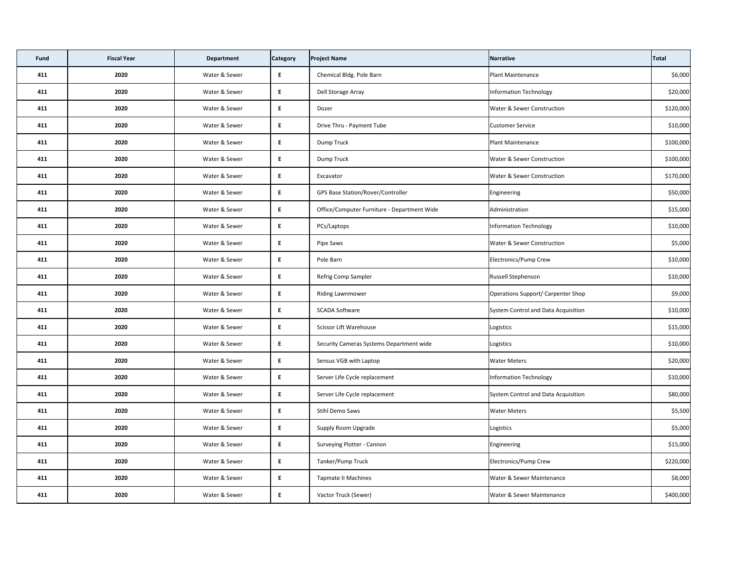| Fund | <b>Fiscal Year</b> | <b>Department</b> | <b>Category</b> | <b>Project Name</b>                         | Narrative                             | Total     |
|------|--------------------|-------------------|-----------------|---------------------------------------------|---------------------------------------|-----------|
| 411  | 2020               | Water & Sewer     | E               | Chemical Bldg. Pole Barn                    | <b>Plant Maintenance</b>              | \$6,000   |
| 411  | 2020               | Water & Sewer     | E               | Dell Storage Array                          | Information Technology                | \$20,000  |
| 411  | 2020               | Water & Sewer     | E               | Dozer                                       | <b>Water &amp; Sewer Construction</b> | \$120,000 |
| 411  | 2020               | Water & Sewer     | E               | Drive Thru - Payment Tube                   | <b>Customer Service</b>               | \$10,000  |
| 411  | 2020               | Water & Sewer     | E               | Dump Truck                                  | <b>Plant Maintenance</b>              | \$100,000 |
| 411  | 2020               | Water & Sewer     | E               | Dump Truck                                  | <b>Water &amp; Sewer Construction</b> | \$100,000 |
| 411  | 2020               | Water & Sewer     | E               | Excavator                                   | <b>Water &amp; Sewer Construction</b> | \$170,000 |
| 411  | 2020               | Water & Sewer     | E               | GPS Base Station/Rover/Controller           | Engineering                           | \$50,000  |
| 411  | 2020               | Water & Sewer     | E               | Office/Computer Furniture - Department Wide | Administration                        | \$15,000  |
| 411  | 2020               | Water & Sewer     | E               | PCs/Laptops                                 | Information Technology                | \$10,000  |
| 411  | 2020               | Water & Sewer     | E               | Pipe Saws                                   | <b>Water &amp; Sewer Construction</b> | \$5,000   |
| 411  | 2020               | Water & Sewer     | E               | Pole Barn                                   | Electronics/Pump Crew                 | \$10,000  |
| 411  | 2020               | Water & Sewer     | $E_{\parallel}$ | Refrig Comp Sampler                         | <b>Russell Stephenson</b>             | \$10,000  |
| 411  | 2020               | Water & Sewer     | E               | Riding Lawnmower                            | Operations Support/ Carpenter Shop    | \$9,000   |
| 411  | 2020               | Water & Sewer     | E.              | <b>SCADA Software</b>                       | System Control and Data Acquisition   | \$10,000  |
| 411  | 2020               | Water & Sewer     | E               | <b>Scissor Lift Warehouse</b>               | Logistics                             | \$15,000  |
| 411  | 2020               | Water & Sewer     | $E_{\parallel}$ | Security Cameras Systems Department wide    | Logistics                             | \$10,000  |
| 411  | 2020               | Water & Sewer     | E               | Sensus VGB with Laptop                      | <b>Water Meters</b>                   | \$20,000  |
| 411  | 2020               | Water & Sewer     | $E_{\perp}$     | Server Life Cycle replacement               | Information Technology                | \$10,000  |
| 411  | 2020               | Water & Sewer     | E               | Server Life Cycle replacement               | System Control and Data Acquisition   | \$80,000  |
| 411  | 2020               | Water & Sewer     | E               | Stihl Demo Saws                             | <b>Water Meters</b>                   | \$5,500   |
| 411  | 2020               | Water & Sewer     | E               | <b>Supply Room Upgrade</b>                  | Logistics                             | \$5,000   |
| 411  | 2020               | Water & Sewer     | E               | Surveying Plotter - Cannon                  | Engineering                           | \$15,000  |
| 411  | 2020               | Water & Sewer     | E               | Tanker/Pump Truck                           | Electronics/Pump Crew                 | \$220,000 |
| 411  | 2020               | Water & Sewer     | E               | <b>Tapmate II Machines</b>                  | Water & Sewer Maintenance             | \$8,000   |
| 411  | 2020               | Water & Sewer     | E               | Vactor Truck (Sewer)                        | <b>Water &amp; Sewer Maintenance</b>  | \$400,000 |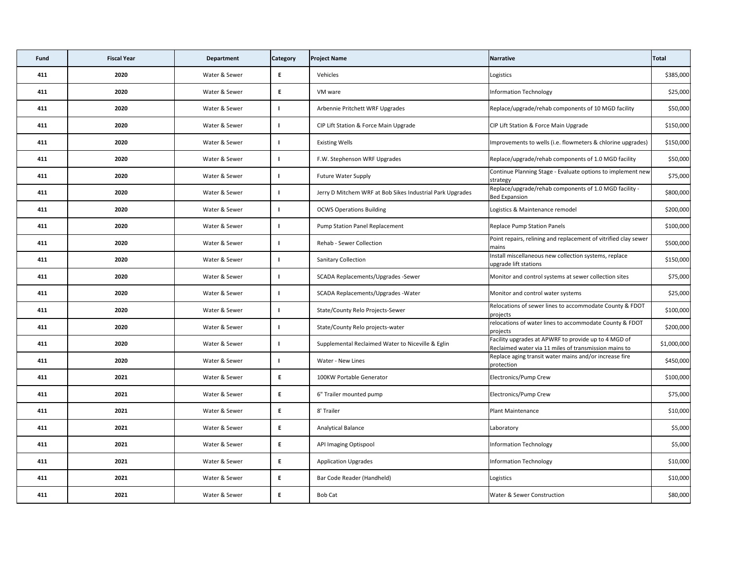| <b>Fund</b> | <b>Fiscal Year</b> | <b>Department</b> | <b>Category</b> | <b>Project Name</b>                                       | Narrative                                                                                                     | Total       |
|-------------|--------------------|-------------------|-----------------|-----------------------------------------------------------|---------------------------------------------------------------------------------------------------------------|-------------|
| 411         | 2020               | Water & Sewer     | E.              | Vehicles                                                  | Logistics                                                                                                     | \$385,000   |
| 411         | 2020               | Water & Sewer     | E               | VM ware                                                   | Information Technology                                                                                        | \$25,000    |
| 411         | 2020               | Water & Sewer     |                 | Arbennie Pritchett WRF Upgrades                           | Replace/upgrade/rehab components of 10 MGD facility                                                           | \$50,000    |
| 411         | 2020               | Water & Sewer     |                 | CIP Lift Station & Force Main Upgrade                     | CIP Lift Station & Force Main Upgrade                                                                         | \$150,000   |
| 411         | 2020               | Water & Sewer     |                 | <b>Existing Wells</b>                                     | Improvements to wells (i.e. flowmeters & chlorine upgrades)                                                   | \$150,000   |
| 411         | 2020               | Water & Sewer     |                 | F.W. Stephenson WRF Upgrades                              | Replace/upgrade/rehab components of 1.0 MGD facility                                                          | \$50,000    |
| 411         | 2020               | Water & Sewer     |                 | <b>Future Water Supply</b>                                | Continue Planning Stage - Evaluate options to implement new<br>strategy                                       | \$75,000    |
| 411         | 2020               | Water & Sewer     |                 | Jerry D Mitchem WRF at Bob Sikes Industrial Park Upgrades | Replace/upgrade/rehab components of 1.0 MGD facility -<br><b>Bed Expansion</b>                                | \$800,000   |
| 411         | 2020               | Water & Sewer     |                 | <b>OCWS Operations Building</b>                           | Logistics & Maintenance remodel                                                                               | \$200,000   |
| 411         | 2020               | Water & Sewer     |                 | <b>Pump Station Panel Replacement</b>                     | <b>Replace Pump Station Panels</b>                                                                            | \$100,000   |
| 411         | 2020               | Water & Sewer     |                 | <b>Rehab - Sewer Collection</b>                           | Point repairs, relining and replacement of vitrified clay sewer<br>mains                                      | \$500,000   |
| 411         | 2020               | Water & Sewer     |                 | <b>Sanitary Collection</b>                                | Install miscellaneous new collection systems, replace<br>upgrade lift stations                                | \$150,000   |
| 411         | 2020               | Water & Sewer     |                 | SCADA Replacements/Upgrades -Sewer                        | Monitor and control systems at sewer collection sites                                                         | \$75,000    |
| 411         | 2020               | Water & Sewer     |                 | SCADA Replacements/Upgrades - Water                       | Monitor and control water systems                                                                             | \$25,000    |
| 411         | 2020               | Water & Sewer     |                 | State/County Relo Projects-Sewer                          | Relocations of sewer lines to accommodate County & FDOT<br>projects                                           | \$100,000   |
| 411         | 2020               | Water & Sewer     |                 | State/County Relo projects-water                          | relocations of water lines to accommodate County & FDOT<br>projects                                           | \$200,000   |
| 411         | 2020               | Water & Sewer     |                 | Supplemental Reclaimed Water to Niceville & Eglin         | Facility upgrades at APWRF to provide up to 4 MGD of<br>Reclaimed water via 11 miles of transmission mains to | \$1,000,000 |
| 411         | 2020               | Water & Sewer     |                 | Water - New Lines                                         | Replace aging transit water mains and/or increase fire<br>protection                                          | \$450,000   |
| 411         | 2021               | Water & Sewer     | E               | 100KW Portable Generator                                  | Electronics/Pump Crew                                                                                         | \$100,000   |
| 411         | 2021               | Water & Sewer     | E               | 6" Trailer mounted pump                                   | Electronics/Pump Crew                                                                                         | \$75,000    |
| 411         | 2021               | Water & Sewer     | E               | 8' Trailer                                                | <b>Plant Maintenance</b>                                                                                      | \$10,000    |
| 411         | 2021               | Water & Sewer     | E               | <b>Analytical Balance</b>                                 | Laboratory                                                                                                    | \$5,000     |
| 411         | 2021               | Water & Sewer     | E               | <b>API Imaging Optispool</b>                              | Information Technology                                                                                        | \$5,000     |
| 411         | 2021               | Water & Sewer     | E.              | <b>Application Upgrades</b>                               | Information Technology                                                                                        | \$10,000    |
| 411         | 2021               | Water & Sewer     | E               | Bar Code Reader (Handheld)                                | Logistics                                                                                                     | \$10,000    |
| 411         | 2021               | Water & Sewer     | E.              | <b>Bob Cat</b>                                            | <b>Water &amp; Sewer Construction</b>                                                                         | \$80,000    |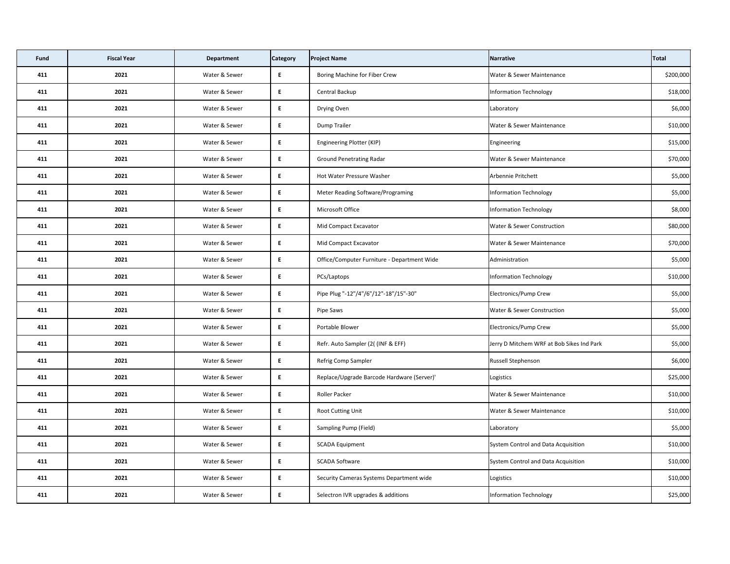| Fund | <b>Fiscal Year</b> | <b>Department</b> | <b>Category</b> | <b>Project Name</b>                         | Narrative                                 | Total     |
|------|--------------------|-------------------|-----------------|---------------------------------------------|-------------------------------------------|-----------|
| 411  | 2021               | Water & Sewer     | E               | Boring Machine for Fiber Crew               | Water & Sewer Maintenance                 | \$200,000 |
| 411  | 2021               | Water & Sewer     | E.              | Central Backup                              | <b>Information Technology</b>             | \$18,000  |
| 411  | 2021               | Water & Sewer     | E               | Drying Oven                                 | Laboratory                                | \$6,000   |
| 411  | 2021               | Water & Sewer     | E.              | Dump Trailer                                | Water & Sewer Maintenance                 | \$10,000  |
| 411  | 2021               | Water & Sewer     | E               | Engineering Plotter (KIP)                   | Engineering                               | \$15,000  |
| 411  | 2021               | Water & Sewer     | E               | <b>Ground Penetrating Radar</b>             | <b>Water &amp; Sewer Maintenance</b>      | \$70,000  |
| 411  | 2021               | Water & Sewer     | E               | Hot Water Pressure Washer                   | Arbennie Pritchett                        | \$5,000   |
| 411  | 2021               | Water & Sewer     | E               | <b>Meter Reading Software/Programing</b>    | Information Technology                    | \$5,000   |
| 411  | 2021               | Water & Sewer     | E.              | Microsoft Office                            | <b>Information Technology</b>             | \$8,000   |
| 411  | 2021               | Water & Sewer     | E               | Mid Compact Excavator                       | <b>Water &amp; Sewer Construction</b>     | \$80,000  |
| 411  | 2021               | Water & Sewer     | E               | Mid Compact Excavator                       | Water & Sewer Maintenance                 | \$70,000  |
| 411  | 2021               | Water & Sewer     | E               | Office/Computer Furniture - Department Wide | Administration                            | \$5,000   |
| 411  | 2021               | Water & Sewer     | E               | PCs/Laptops                                 | Information Technology                    | \$10,000  |
| 411  | 2021               | Water & Sewer     | E               | Pipe Plug "-12"/4"/6"/12"-18"/15"-30"       | Electronics/Pump Crew                     | \$5,000   |
| 411  | 2021               | Water & Sewer     | E.              | Pipe Saws                                   | <b>Water &amp; Sewer Construction</b>     | \$5,000   |
| 411  | 2021               | Water & Sewer     | E.              | Portable Blower                             | Electronics/Pump Crew                     | \$5,000   |
| 411  | 2021               | Water & Sewer     | E               | Refr. Auto Sampler (2((INF & EFF)           | Jerry D Mitchem WRF at Bob Sikes Ind Park | \$5,000   |
| 411  | 2021               | Water & Sewer     | E               | Refrig Comp Sampler                         | <b>Russell Stephenson</b>                 | \$6,000   |
| 411  | 2021               | Water & Sewer     | E               | Replace/Upgrade Barcode Hardware (Server)'  | Logistics                                 | \$25,000  |
| 411  | 2021               | Water & Sewer     | E               | Roller Packer                               | Water & Sewer Maintenance                 | \$10,000  |
| 411  | 2021               | Water & Sewer     | E               | Root Cutting Unit                           | Water & Sewer Maintenance                 | \$10,000  |
| 411  | 2021               | Water & Sewer     | E               | <b>Sampling Pump (Field)</b>                | Laboratory                                | \$5,000   |
| 411  | 2021               | Water & Sewer     | E               | <b>SCADA Equipment</b>                      | System Control and Data Acquisition       | \$10,000  |
| 411  | 2021               | Water & Sewer     | E               | <b>SCADA Software</b>                       | System Control and Data Acquisition       | \$10,000  |
| 411  | 2021               | Water & Sewer     | E               | Security Cameras Systems Department wide    | Logistics                                 | \$10,000  |
| 411  | 2021               | Water & Sewer     | E               | Selectron IVR upgrades & additions          | <b>Information Technology</b>             | \$25,000  |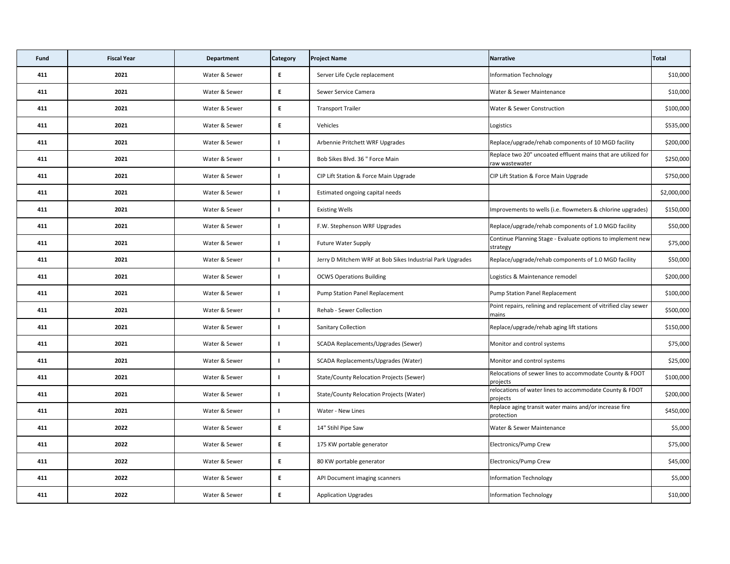| <b>Fund</b> | <b>Fiscal Year</b> | <b>Department</b> | <b>Category</b> | <b>Project Name</b>                                       | Narrative                                                                       | Total       |
|-------------|--------------------|-------------------|-----------------|-----------------------------------------------------------|---------------------------------------------------------------------------------|-------------|
| 411         | 2021               | Water & Sewer     | E               | Server Life Cycle replacement                             | <b>Information Technology</b>                                                   | \$10,000    |
| 411         | 2021               | Water & Sewer     | E               | Sewer Service Camera                                      | Water & Sewer Maintenance                                                       | \$10,000    |
| 411         | 2021               | Water & Sewer     | E               | <b>Transport Trailer</b>                                  | <b>Water &amp; Sewer Construction</b>                                           | \$100,000   |
| 411         | 2021               | Water & Sewer     | E               | Vehicles                                                  | Logistics                                                                       | \$535,000   |
| 411         | 2021               | Water & Sewer     |                 | Arbennie Pritchett WRF Upgrades                           | Replace/upgrade/rehab components of 10 MGD facility                             | \$200,000   |
| 411         | 2021               | Water & Sewer     |                 | Bob Sikes Blvd. 36 " Force Main                           | Replace two 20" uncoated effluent mains that are utilized for<br>raw wastewater | \$250,000   |
| 411         | 2021               | Water & Sewer     |                 | CIP Lift Station & Force Main Upgrade                     | CIP Lift Station & Force Main Upgrade                                           | \$750,000   |
| 411         | 2021               | Water & Sewer     |                 | Estimated ongoing capital needs                           |                                                                                 | \$2,000,000 |
| 411         | 2021               | Water & Sewer     |                 | <b>Existing Wells</b>                                     | Improvements to wells (i.e. flowmeters & chlorine upgrades)                     | \$150,000   |
| 411         | 2021               | Water & Sewer     |                 | F.W. Stephenson WRF Upgrades                              | Replace/upgrade/rehab components of 1.0 MGD facility                            | \$50,000    |
| 411         | 2021               | Water & Sewer     |                 | <b>Future Water Supply</b>                                | Continue Planning Stage - Evaluate options to implement new<br>strategy         | \$75,000    |
| 411         | 2021               | Water & Sewer     |                 | Jerry D Mitchem WRF at Bob Sikes Industrial Park Upgrades | Replace/upgrade/rehab components of 1.0 MGD facility                            | \$50,000    |
| 411         | 2021               | Water & Sewer     |                 | <b>OCWS Operations Building</b>                           | Logistics & Maintenance remodel                                                 | \$200,000   |
| 411         | 2021               | Water & Sewer     |                 | <b>Pump Station Panel Replacement</b>                     | Pump Station Panel Replacement                                                  | \$100,000   |
| 411         | 2021               | Water & Sewer     |                 | Rehab - Sewer Collection                                  | Point repairs, relining and replacement of vitrified clay sewer<br>mains        | \$500,000   |
| 411         | 2021               | Water & Sewer     |                 | <b>Sanitary Collection</b>                                | Replace/upgrade/rehab aging lift stations                                       | \$150,000   |
| 411         | 2021               | Water & Sewer     |                 | SCADA Replacements/Upgrades (Sewer)                       | Monitor and control systems                                                     | \$75,000    |
| 411         | 2021               | Water & Sewer     |                 | <b>SCADA Replacements/Upgrades (Water)</b>                | Monitor and control systems                                                     | \$25,000    |
| 411         | 2021               | Water & Sewer     |                 | <b>State/County Relocation Projects (Sewer)</b>           | Relocations of sewer lines to accommodate County & FDOT<br>projects             | \$100,000   |
| 411         | 2021               | Water & Sewer     |                 | <b>State/County Relocation Projects (Water)</b>           | relocations of water lines to accommodate County & FDOT<br>projects             | \$200,000   |
| 411         | 2021               | Water & Sewer     |                 | Water - New Lines                                         | Replace aging transit water mains and/or increase fire<br>protection            | \$450,000   |
| 411         | 2022               | Water & Sewer     | E               | 14" Stihl Pipe Saw                                        | <b>Water &amp; Sewer Maintenance</b>                                            | \$5,000     |
| 411         | 2022               | Water & Sewer     | E               | 175 KW portable generator                                 | Electronics/Pump Crew                                                           | \$75,000    |
| 411         | 2022               | Water & Sewer     | E               | 80 KW portable generator                                  | Electronics/Pump Crew                                                           | \$45,000    |
| 411         | 2022               | Water & Sewer     | E               | API Document imaging scanners                             | <b>Information Technology</b>                                                   | \$5,000     |
| 411         | 2022               | Water & Sewer     | E.              | <b>Application Upgrades</b>                               | <b>Information Technology</b>                                                   | \$10,000    |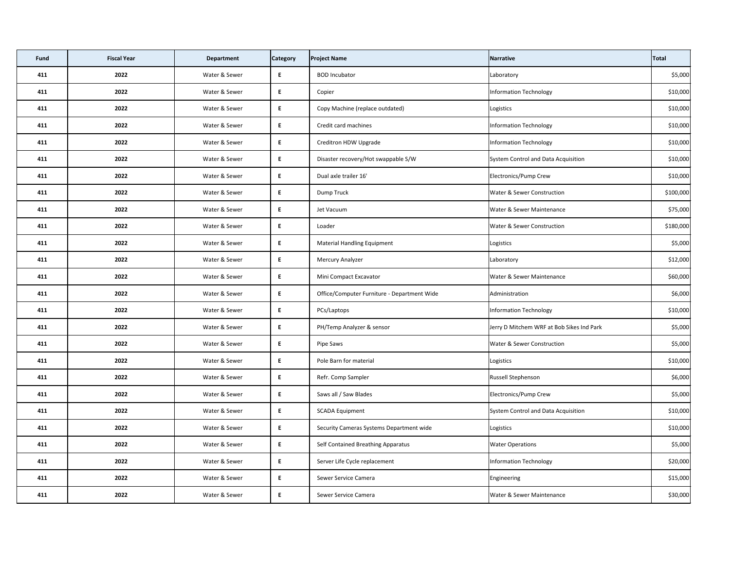| Fund | <b>Fiscal Year</b> | <b>Department</b> | <b>Category</b> | <b>Project Name</b>                         | Narrative                                 | Total     |
|------|--------------------|-------------------|-----------------|---------------------------------------------|-------------------------------------------|-----------|
| 411  | 2022               | Water & Sewer     | E               | <b>BOD Incubator</b>                        | Laboratory                                | \$5,000   |
| 411  | 2022               | Water & Sewer     | E               | Copier                                      | Information Technology                    | \$10,000  |
| 411  | 2022               | Water & Sewer     | E               | Copy Machine (replace outdated)             | Logistics                                 | \$10,000  |
| 411  | 2022               | Water & Sewer     | E               | Credit card machines                        | Information Technology                    | \$10,000  |
| 411  | 2022               | Water & Sewer     | E               | Creditron HDW Upgrade                       | Information Technology                    | \$10,000  |
| 411  | 2022               | Water & Sewer     | E               | Disaster recovery/Hot swappable S/W         | System Control and Data Acquisition       | \$10,000  |
| 411  | 2022               | Water & Sewer     | E               | Dual axle trailer 16'                       | Electronics/Pump Crew                     | \$10,000  |
| 411  | 2022               | Water & Sewer     | E               | Dump Truck                                  | <b>Water &amp; Sewer Construction</b>     | \$100,000 |
| 411  | 2022               | Water & Sewer     | E               | Jet Vacuum                                  | <b>Water &amp; Sewer Maintenance</b>      | \$75,000  |
| 411  | 2022               | Water & Sewer     | E               | Loader                                      | <b>Water &amp; Sewer Construction</b>     | \$180,000 |
| 411  | 2022               | Water & Sewer     | E               | <b>Material Handling Equipment</b>          | Logistics                                 | \$5,000   |
| 411  | 2022               | Water & Sewer     | E               | <b>Mercury Analyzer</b>                     | Laboratory                                | \$12,000  |
| 411  | 2022               | Water & Sewer     | E               | Mini Compact Excavator                      | <b>Water &amp; Sewer Maintenance</b>      | \$60,000  |
| 411  | 2022               | Water & Sewer     | E               | Office/Computer Furniture - Department Wide | Administration                            | \$6,000   |
| 411  | 2022               | Water & Sewer     | E.              | PCs/Laptops                                 | Information Technology                    | \$10,000  |
| 411  | 2022               | Water & Sewer     | E               | PH/Temp Analyzer & sensor                   | Jerry D Mitchem WRF at Bob Sikes Ind Park | \$5,000   |
| 411  | 2022               | Water & Sewer     | $E_{\parallel}$ | Pipe Saws                                   | <b>Water &amp; Sewer Construction</b>     | \$5,000   |
| 411  | 2022               | Water & Sewer     | E               | Pole Barn for material                      | Logistics                                 | \$10,000  |
| 411  | 2022               | Water & Sewer     | $E_{\perp}$     | Refr. Comp Sampler                          | <b>Russell Stephenson</b>                 | \$6,000   |
| 411  | 2022               | Water & Sewer     | E               | Saws all / Saw Blades                       | Electronics/Pump Crew                     | \$5,000   |
| 411  | 2022               | Water & Sewer     | E               | <b>SCADA Equipment</b>                      | System Control and Data Acquisition       | \$10,000  |
| 411  | 2022               | Water & Sewer     | E               | Security Cameras Systems Department wide    | Logistics                                 | \$10,000  |
| 411  | 2022               | Water & Sewer     | E               | Self Contained Breathing Apparatus          | <b>Water Operations</b>                   | \$5,000   |
| 411  | 2022               | Water & Sewer     | E               | Server Life Cycle replacement               | Information Technology                    | \$20,000  |
| 411  | 2022               | Water & Sewer     | E               | Sewer Service Camera                        | Engineering                               | \$15,000  |
| 411  | 2022               | Water & Sewer     | E               | Sewer Service Camera                        | <b>Water &amp; Sewer Maintenance</b>      | \$30,000  |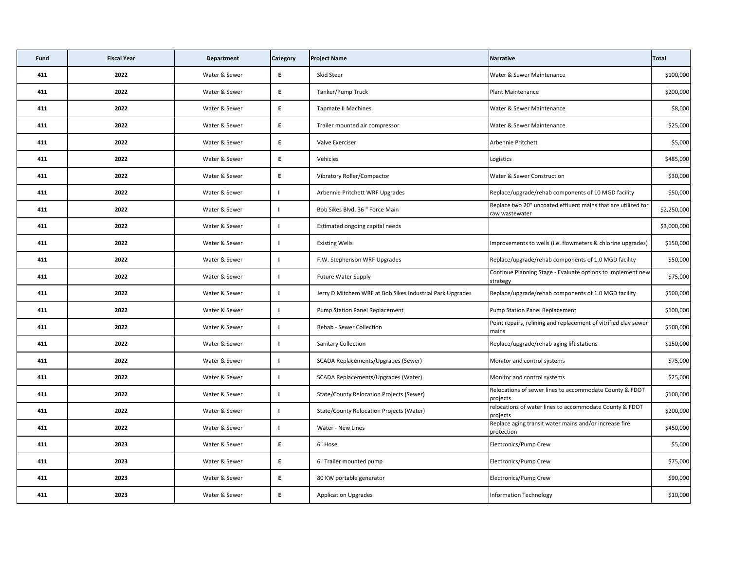| <b>Fund</b> | <b>Fiscal Year</b> | <b>Department</b> | <b>Category</b> | <b>Project Name</b>                                       | Narrative                                                                       | Total       |
|-------------|--------------------|-------------------|-----------------|-----------------------------------------------------------|---------------------------------------------------------------------------------|-------------|
| 411         | 2022               | Water & Sewer     | E.              | <b>Skid Steer</b>                                         | <b>Water &amp; Sewer Maintenance</b>                                            | \$100,000   |
| 411         | 2022               | Water & Sewer     | E               | Tanker/Pump Truck                                         | <b>Plant Maintenance</b>                                                        | \$200,000   |
| 411         | 2022               | Water & Sewer     | E.              | <b>Tapmate II Machines</b>                                | Water & Sewer Maintenance                                                       | \$8,000     |
| 411         | 2022               | Water & Sewer     | E.              | Trailer mounted air compressor                            | <b>Water &amp; Sewer Maintenance</b>                                            | \$25,000    |
| 411         | 2022               | Water & Sewer     | E.              | Valve Exerciser                                           | Arbennie Pritchett                                                              | \$5,000     |
| 411         | 2022               | Water & Sewer     | E               | Vehicles                                                  | Logistics                                                                       | \$485,000   |
| 411         | 2022               | Water & Sewer     | E               | Vibratory Roller/Compactor                                | <b>Water &amp; Sewer Construction</b>                                           | \$30,000    |
| 411         | 2022               | Water & Sewer     |                 | Arbennie Pritchett WRF Upgrades                           | Replace/upgrade/rehab components of 10 MGD facility                             | \$50,000    |
| 411         | 2022               | Water & Sewer     |                 | Bob Sikes Blvd. 36 " Force Main                           | Replace two 20" uncoated effluent mains that are utilized for<br>raw wastewater | \$2,250,000 |
| 411         | 2022               | Water & Sewer     |                 | Estimated ongoing capital needs                           |                                                                                 | \$3,000,000 |
| 411         | 2022               | Water & Sewer     |                 | <b>Existing Wells</b>                                     | Improvements to wells (i.e. flowmeters & chlorine upgrades)                     | \$150,000   |
| 411         | 2022               | Water & Sewer     |                 | F.W. Stephenson WRF Upgrades                              | Replace/upgrade/rehab components of 1.0 MGD facility                            | \$50,000    |
| 411         | 2022               | Water & Sewer     |                 | <b>Future Water Supply</b>                                | Continue Planning Stage - Evaluate options to implement new<br>strategy         | \$75,000    |
| 411         | 2022               | Water & Sewer     |                 | Jerry D Mitchem WRF at Bob Sikes Industrial Park Upgrades | Replace/upgrade/rehab components of 1.0 MGD facility                            | \$500,000   |
| 411         | 2022               | Water & Sewer     |                 | Pump Station Panel Replacement                            | Pump Station Panel Replacement                                                  | \$100,000   |
| 411         | 2022               | Water & Sewer     |                 | <b>Rehab - Sewer Collection</b>                           | Point repairs, relining and replacement of vitrified clay sewer<br>mains        | \$500,000   |
| 411         | 2022               | Water & Sewer     |                 | <b>Sanitary Collection</b>                                | Replace/upgrade/rehab aging lift stations                                       | \$150,000   |
| 411         | 2022               | Water & Sewer     |                 | SCADA Replacements/Upgrades (Sewer)                       | Monitor and control systems                                                     | \$75,000    |
| 411         | 2022               | Water & Sewer     |                 | SCADA Replacements/Upgrades (Water)                       | Monitor and control systems                                                     | \$25,000    |
| 411         | 2022               | Water & Sewer     |                 | <b>State/County Relocation Projects (Sewer)</b>           | Relocations of sewer lines to accommodate County & FDOT<br>projects             | \$100,000   |
| 411         | 2022               | Water & Sewer     |                 | <b>State/County Relocation Projects (Water)</b>           | relocations of water lines to accommodate County & FDOT<br>projects             | \$200,000   |
| 411         | 2022               | Water & Sewer     |                 | Water - New Lines                                         | Replace aging transit water mains and/or increase fire<br>protection            | \$450,000   |
| 411         | 2023               | Water & Sewer     | E.              | 6" Hose                                                   | Electronics/Pump Crew                                                           | \$5,000     |
| 411         | 2023               | Water & Sewer     | E               | 6" Trailer mounted pump                                   | Electronics/Pump Crew                                                           | \$75,000    |
| 411         | 2023               | Water & Sewer     | E               | 80 KW portable generator                                  | Electronics/Pump Crew                                                           | \$90,000    |
| 411         | 2023               | Water & Sewer     | E               | <b>Application Upgrades</b>                               | Information Technology                                                          | \$10,000    |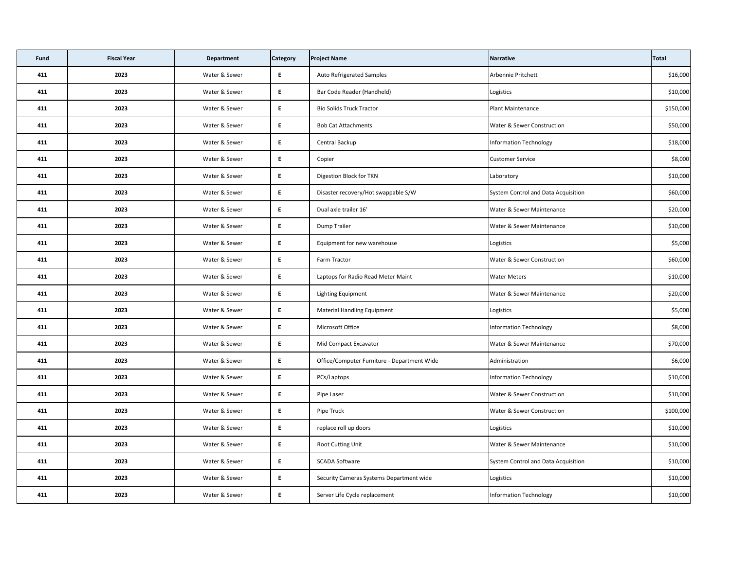| Fund | <b>Fiscal Year</b> | <b>Department</b> | <b>Category</b> | <b>Project Name</b>                         | Narrative                             | Total     |
|------|--------------------|-------------------|-----------------|---------------------------------------------|---------------------------------------|-----------|
| 411  | 2023               | Water & Sewer     | E               | <b>Auto Refrigerated Samples</b>            | Arbennie Pritchett                    | \$16,000  |
| 411  | 2023               | Water & Sewer     | E               | Bar Code Reader (Handheld)                  | Logistics                             | \$10,000  |
| 411  | 2023               | Water & Sewer     | E               | <b>Bio Solids Truck Tractor</b>             | Plant Maintenance                     | \$150,000 |
| 411  | 2023               | Water & Sewer     | E.              | <b>Bob Cat Attachments</b>                  | <b>Water &amp; Sewer Construction</b> | \$50,000  |
| 411  | 2023               | Water & Sewer     | E               | Central Backup                              | Information Technology                | \$18,000  |
| 411  | 2023               | Water & Sewer     | E               | Copier                                      | <b>Customer Service</b>               | \$8,000   |
| 411  | 2023               | Water & Sewer     | E               | Digestion Block for TKN                     | Laboratory                            | \$10,000  |
| 411  | 2023               | Water & Sewer     | E               | Disaster recovery/Hot swappable S/W         | System Control and Data Acquisition   | \$60,000  |
| 411  | 2023               | Water & Sewer     | E               | Dual axle trailer 16'                       | <b>Water &amp; Sewer Maintenance</b>  | \$20,000  |
| 411  | 2023               | Water & Sewer     | E.              | Dump Trailer                                | <b>Water &amp; Sewer Maintenance</b>  | \$10,000  |
| 411  | 2023               | Water & Sewer     | E               | Equipment for new warehouse                 | Logistics                             | \$5,000   |
| 411  | 2023               | Water & Sewer     | E               | Farm Tractor                                | <b>Water &amp; Sewer Construction</b> | \$60,000  |
| 411  | 2023               | Water & Sewer     | E               | Laptops for Radio Read Meter Maint          | <b>Water Meters</b>                   | \$10,000  |
| 411  | 2023               | Water & Sewer     | E               | Lighting Equipment                          | Water & Sewer Maintenance             | \$20,000  |
| 411  | 2023               | Water & Sewer     | E.              | <b>Material Handling Equipment</b>          | Logistics                             | \$5,000   |
| 411  | 2023               | Water & Sewer     | E               | Microsoft Office                            | Information Technology                | \$8,000   |
| 411  | 2023               | Water & Sewer     | E               | Mid Compact Excavator                       | Water & Sewer Maintenance             | \$70,000  |
| 411  | 2023               | Water & Sewer     | E               | Office/Computer Furniture - Department Wide | Administration                        | \$6,000   |
| 411  | 2023               | Water & Sewer     | E               | PCs/Laptops                                 | Information Technology                | \$10,000  |
| 411  | 2023               | Water & Sewer     | E               | Pipe Laser                                  | <b>Water &amp; Sewer Construction</b> | \$10,000  |
| 411  | 2023               | Water & Sewer     | E.              | Pipe Truck                                  | <b>Water &amp; Sewer Construction</b> | \$100,000 |
| 411  | 2023               | Water & Sewer     | E               | replace roll up doors                       | Logistics                             | \$10,000  |
| 411  | 2023               | Water & Sewer     | E               | <b>Root Cutting Unit</b>                    | Water & Sewer Maintenance             | \$10,000  |
| 411  | 2023               | Water & Sewer     | E               | <b>SCADA Software</b>                       | System Control and Data Acquisition   | \$10,000  |
| 411  | 2023               | Water & Sewer     | E               | Security Cameras Systems Department wide    | Logistics                             | \$10,000  |
| 411  | 2023               | Water & Sewer     | E.              | Server Life Cycle replacement               | Information Technology                | \$10,000  |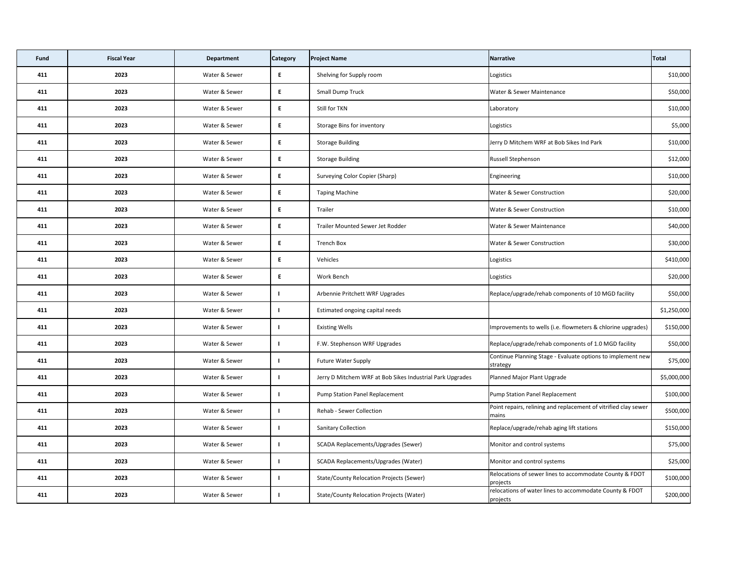| <b>Fund</b> | <b>Fiscal Year</b> | <b>Department</b> | <b>Category</b> | <b>Project Name</b>                                       | Narrative                                                                | Total       |
|-------------|--------------------|-------------------|-----------------|-----------------------------------------------------------|--------------------------------------------------------------------------|-------------|
| 411         | 2023               | Water & Sewer     | E               | Shelving for Supply room                                  | Logistics                                                                | \$10,000    |
| 411         | 2023               | Water & Sewer     | E               | <b>Small Dump Truck</b>                                   | <b>Water &amp; Sewer Maintenance</b>                                     | \$50,000    |
| 411         | 2023               | Water & Sewer     | E.              | Still for TKN                                             | Laboratory                                                               | \$10,000    |
| 411         | 2023               | Water & Sewer     | E               | <b>Storage Bins for inventory</b>                         | Logistics                                                                | \$5,000     |
| 411         | 2023               | Water & Sewer     | E               | <b>Storage Building</b>                                   | Jerry D Mitchem WRF at Bob Sikes Ind Park                                | \$10,000    |
| 411         | 2023               | Water & Sewer     | E               | <b>Storage Building</b>                                   | <b>Russell Stephenson</b>                                                | \$12,000    |
| 411         | 2023               | Water & Sewer     | E               | Surveying Color Copier (Sharp)                            | Engineering                                                              | \$10,000    |
| 411         | 2023               | Water & Sewer     | E               | <b>Taping Machine</b>                                     | <b>Water &amp; Sewer Construction</b>                                    | \$20,000    |
| 411         | 2023               | Water & Sewer     | E               | Trailer                                                   | <b>Water &amp; Sewer Construction</b>                                    | \$10,000    |
| 411         | 2023               | Water & Sewer     | E               | <b>Trailer Mounted Sewer Jet Rodder</b>                   | Water & Sewer Maintenance                                                | \$40,000    |
| 411         | 2023               | Water & Sewer     | E               | <b>Trench Box</b>                                         | <b>Water &amp; Sewer Construction</b>                                    | \$30,000    |
| 411         | 2023               | Water & Sewer     | E               | Vehicles                                                  | Logistics                                                                | \$410,000   |
| 411         | 2023               | Water & Sewer     | E               | Work Bench                                                | Logistics                                                                | \$20,000    |
| 411         | 2023               | Water & Sewer     |                 | Arbennie Pritchett WRF Upgrades                           | Replace/upgrade/rehab components of 10 MGD facility                      | \$50,000    |
| 411         | 2023               | Water & Sewer     |                 | Estimated ongoing capital needs                           |                                                                          | \$1,250,000 |
| 411         | 2023               | Water & Sewer     |                 | <b>Existing Wells</b>                                     | Improvements to wells (i.e. flowmeters & chlorine upgrades)              | \$150,000   |
| 411         | 2023               | Water & Sewer     |                 | F.W. Stephenson WRF Upgrades                              | Replace/upgrade/rehab components of 1.0 MGD facility                     | \$50,000    |
| 411         | 2023               | Water & Sewer     |                 | <b>Future Water Supply</b>                                | Continue Planning Stage - Evaluate options to implement new<br>strategy  | \$75,000    |
| 411         | 2023               | Water & Sewer     |                 | Jerry D Mitchem WRF at Bob Sikes Industrial Park Upgrades | Planned Major Plant Upgrade                                              | \$5,000,000 |
| 411         | 2023               | Water & Sewer     |                 | <b>Pump Station Panel Replacement</b>                     | Pump Station Panel Replacement                                           | \$100,000   |
| 411         | 2023               | Water & Sewer     |                 | Rehab - Sewer Collection                                  | Point repairs, relining and replacement of vitrified clay sewer<br>mains | \$500,000   |
| 411         | 2023               | Water & Sewer     |                 | <b>Sanitary Collection</b>                                | Replace/upgrade/rehab aging lift stations                                | \$150,000   |
| 411         | 2023               | Water & Sewer     |                 | SCADA Replacements/Upgrades (Sewer)                       | Monitor and control systems                                              | \$75,000    |
| 411         | 2023               | Water & Sewer     |                 | <b>SCADA Replacements/Upgrades (Water)</b>                | Monitor and control systems                                              | \$25,000    |
| 411         | 2023               | Water & Sewer     |                 | <b>State/County Relocation Projects (Sewer)</b>           | Relocations of sewer lines to accommodate County & FDOT<br>projects      | \$100,000   |
| 411         | 2023               | Water & Sewer     |                 | <b>State/County Relocation Projects (Water)</b>           | relocations of water lines to accommodate County & FDOT<br>projects      | \$200,000   |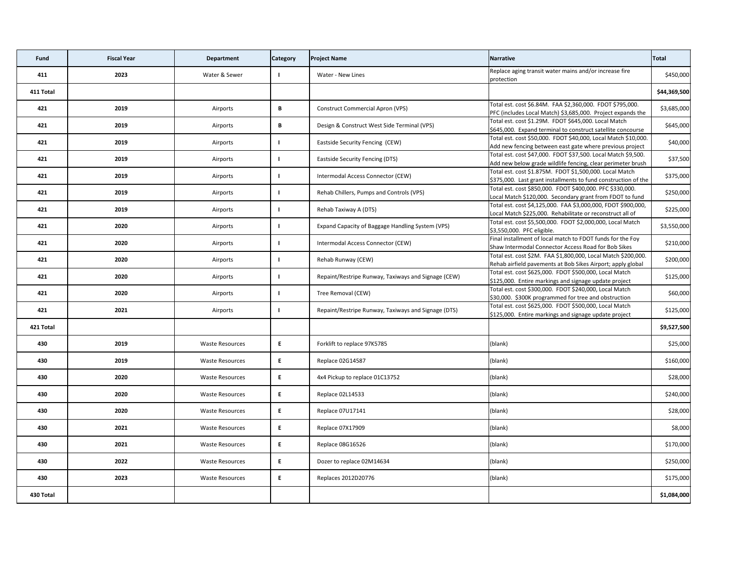| Fund      | <b>Fiscal Year</b> | <b>Department</b>      | <b>Category</b> | <b>Project Name</b>                                 | Narrative                                                                                                                    | Total        |
|-----------|--------------------|------------------------|-----------------|-----------------------------------------------------|------------------------------------------------------------------------------------------------------------------------------|--------------|
| 411       | 2023               | Water & Sewer          |                 | Water - New Lines                                   | Replace aging transit water mains and/or increase fire<br>protection                                                         | \$450,000    |
| 411 Total |                    |                        |                 |                                                     |                                                                                                                              | \$44,369,500 |
| 421       | 2019               | Airports               | B               | <b>Construct Commercial Apron (VPS)</b>             | Total est. cost \$6.84M. FAA \$2,360,000. FDOT \$795,000.<br>PFC (includes Local Match) \$3,685,000. Project expands the     | \$3,685,000  |
| 421       | 2019               | Airports               | B               | Design & Construct West Side Terminal (VPS)         | Total est. cost \$1.29M. FDOT \$645,000. Local Match<br>\$645,000. Expand terminal to construct satellite concourse          | \$645,000    |
| 421       | 2019               | Airports               |                 | Eastside Security Fencing (CEW)                     | Total est. cost \$50,000. FDOT \$40,000, Local Match \$10,000.<br>Add new fencing between east gate where previous project   | \$40,000     |
| 421       | 2019               | Airports               |                 | <b>Eastside Security Fencing (DTS)</b>              | Total est. cost \$47,000. FDOT \$37,500. Local Match \$9,500.<br>Add new below grade wildlife fencing, clear perimeter brush | \$37,500     |
| 421       | 2019               | Airports               |                 | Intermodal Access Connector (CEW)                   | Total est. cost \$1.875M. FDOT \$1,500,000. Local Match<br>\$375,000. Last grant installments to fund construction of the    | \$375,000    |
| 421       | 2019               | Airports               |                 | Rehab Chillers, Pumps and Controls (VPS)            | Total est. cost \$850,000. FDOT \$400,000. PFC \$330,000.<br>Local Match \$120,000. Secondary grant from FDOT to fund        | \$250,000    |
| 421       | 2019               | Airports               |                 | Rehab Taxiway A (DTS)                               | Total est. cost \$4,125,000. FAA \$3,000,000, FDOT \$900,000,<br>Local Match \$225,000. Rehabilitate or reconstruct all of   | \$225,000    |
| 421       | 2020               | Airports               |                 | Expand Capacity of Baggage Handling System (VPS)    | Total est. cost \$5,500,000. FDOT \$2,000,000, Local Match<br>\$3,550,000. PFC eligible.                                     | \$3,550,000  |
| 421       | 2020               | Airports               |                 | Intermodal Access Connector (CEW)                   | Final installment of local match to FDOT funds for the Foy<br>Shaw Intermodal Connector Access Road for Bob Sikes            | \$210,000    |
| 421       | 2020               | Airports               |                 | Rehab Runway (CEW)                                  | Total est. cost \$2M. FAA \$1,800,000, Local Match \$200,000.<br>Rehab airfield pavements at Bob Sikes Airport; apply global | \$200,000    |
| 421       | 2020               | Airports               |                 | Repaint/Restripe Runway, Taxiways and Signage (CEW) | Total est. cost \$625,000. FDOT \$500,000, Local Match<br>\$125,000. Entire markings and signage update project              | \$125,000    |
| 421       | 2020               | Airports               |                 | Tree Removal (CEW)                                  | Total est. cost \$300,000. FDOT \$240,000, Local Match<br>\$30,000. \$300K programmed for tree and obstruction               | \$60,000     |
| 421       | 2021               | Airports               |                 | Repaint/Restripe Runway, Taxiways and Signage (DTS) | Total est. cost \$625,000. FDOT \$500,000, Local Match<br>\$125,000. Entire markings and signage update project              | \$125,000    |
| 421 Total |                    |                        |                 |                                                     |                                                                                                                              | \$9,527,500  |
| 430       | 2019               | <b>Waste Resources</b> | E               | Forklift to replace 97K5785                         | (blank)                                                                                                                      | \$25,000     |
| 430       | 2019               | <b>Waste Resources</b> | E               | Replace 02G14587                                    | (blank)                                                                                                                      | \$160,000    |
| 430       | 2020               | <b>Waste Resources</b> | E               | 4x4 Pickup to replace 01C13752                      | (blank)                                                                                                                      | \$28,000     |
| 430       | 2020               | <b>Waste Resources</b> | E               | Replace 02L14533                                    | (blank)                                                                                                                      | \$240,000    |
| 430       | 2020               | <b>Waste Resources</b> | E               | Replace 07U17141                                    | (blank)                                                                                                                      | \$28,000     |
| 430       | 2021               | <b>Waste Resources</b> | E               | Replace 07X17909                                    | (blank)                                                                                                                      | \$8,000      |
| 430       | 2021               | <b>Waste Resources</b> | E.              | Replace 08G16526                                    | (blank)                                                                                                                      | \$170,000    |
| 430       | 2022               | <b>Waste Resources</b> | E               | Dozer to replace 02M14634                           | (blank)                                                                                                                      | \$250,000    |
| 430       | 2023               | <b>Waste Resources</b> | E               | Replaces 2012D20776                                 | (blank)                                                                                                                      | \$175,000    |
| 430 Total |                    |                        |                 |                                                     |                                                                                                                              | \$1,084,000  |